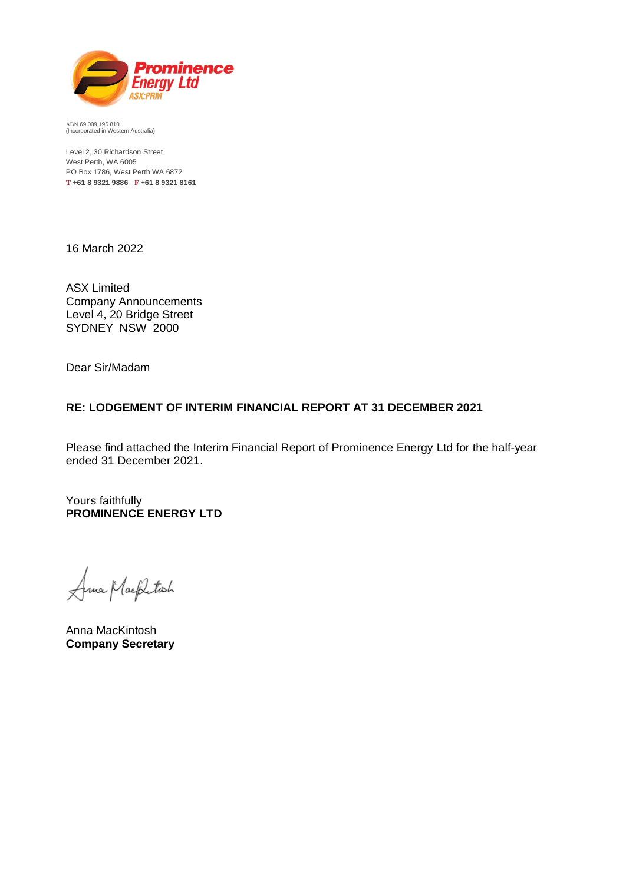

ABN 69 009 196 810 (Incorporated in Western Australia)

Level 2, 30 Richardson Street West Perth, WA 6005 PO Box 1786, West Perth WA 6872 **T +61 8 9321 9886 F +61 8 9321 8161**

16 March 2022

ASX Limited Company Announcements Level 4, 20 Bridge Street SYDNEY NSW 2000

Dear Sir/Madam

# **RE: LODGEMENT OF INTERIM FINANCIAL REPORT AT 31 DECEMBER 2021**

Please find attached the Interim Financial Report of Prominence Energy Ltd for the half-year ended 31 December 2021.

Yours faithfully **PROMINENCE ENERGY LTD**

Ama Mackitach

Anna MacKintosh **Company Secretary**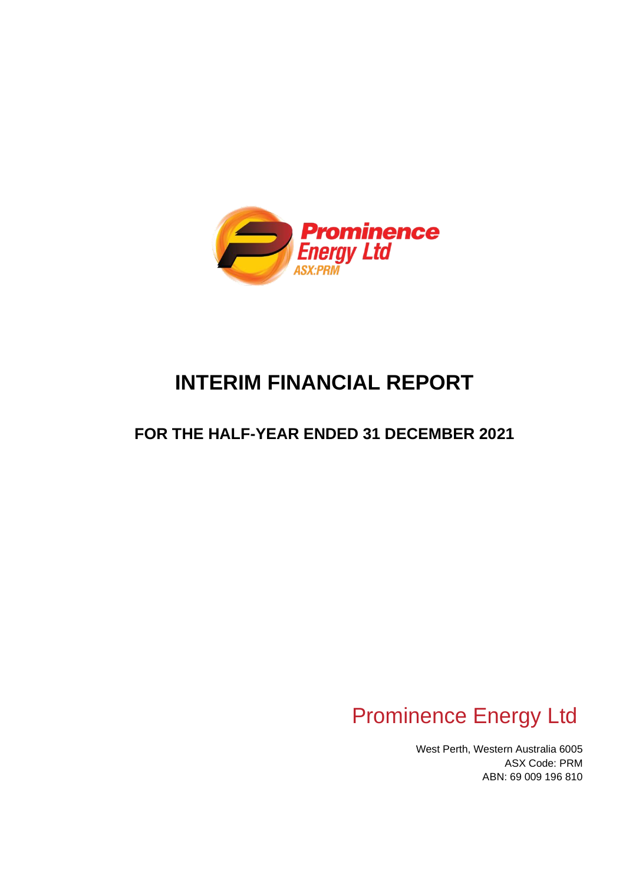

# **INTERIM FINANCIAL REPORT**

# **FOR THE HALF-YEAR ENDED 31 DECEMBER 2021**

# Prominence Energy Ltd

West Perth, Western Australia 6005 ASX Code: PRM ABN: 69 009 196 810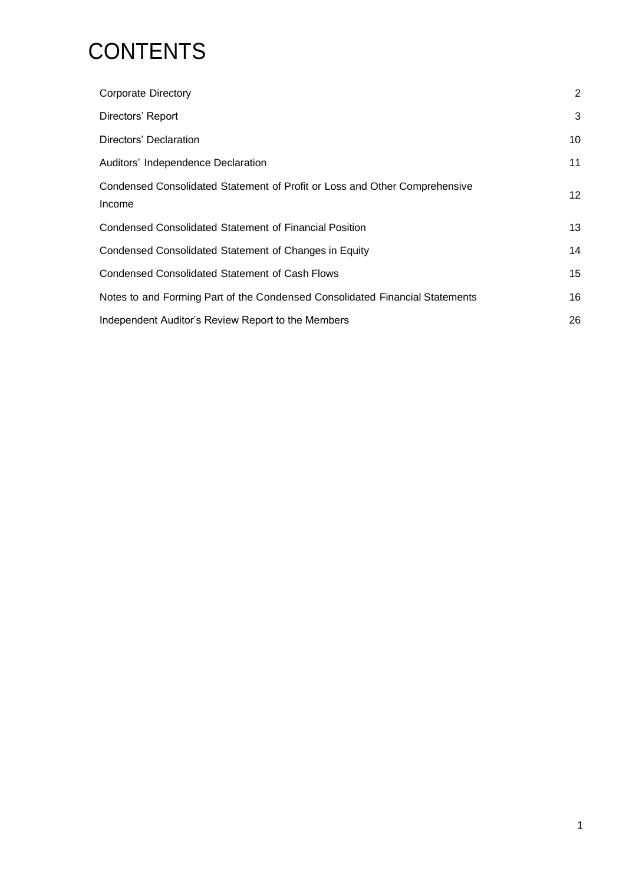# **CONTENTS**

| <b>Corporate Directory</b>                                                           | $\overline{2}$ |
|--------------------------------------------------------------------------------------|----------------|
| Directors' Report                                                                    | 3              |
| Directors' Declaration                                                               | 10             |
| Auditors' Independence Declaration                                                   | 11             |
| Condensed Consolidated Statement of Profit or Loss and Other Comprehensive<br>Income | 12             |
| Condensed Consolidated Statement of Financial Position                               | 13             |
| Condensed Consolidated Statement of Changes in Equity                                | 14             |
| <b>Condensed Consolidated Statement of Cash Flows</b>                                | 15             |
| Notes to and Forming Part of the Condensed Consolidated Financial Statements         | 16             |
| Independent Auditor's Review Report to the Members                                   | 26             |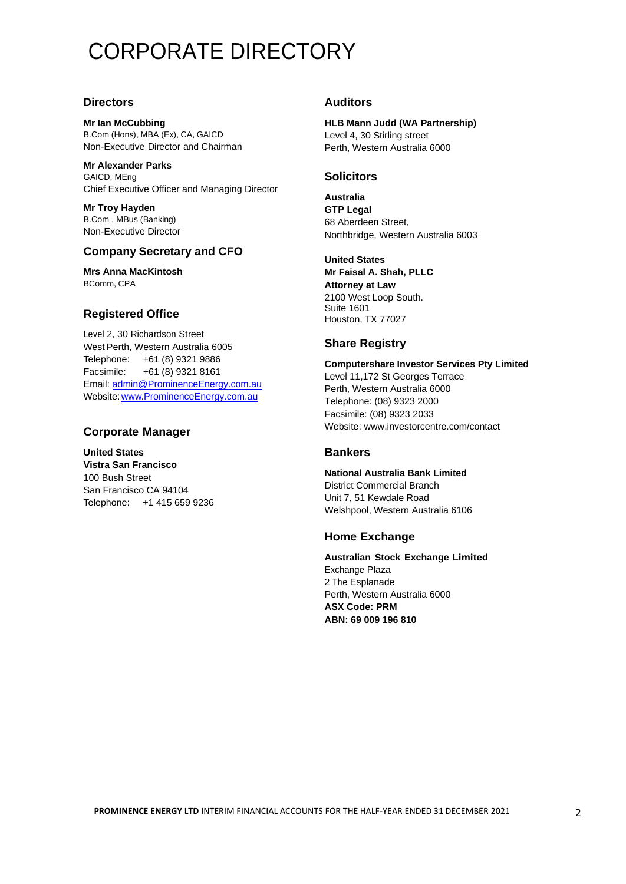# CORPORATE DIRECTORY

## **Directors**

**Mr Ian McCubbing**  B.Com (Hons), MBA (Ex), CA, GAICD Non-Executive Director and Chairman

**Mr Alexander Parks** GAICD, MEng Chief Executive Officer and Managing Director

**Mr Troy Hayden** B.Com , MBus (Banking) Non-Executive Director

# **Company Secretary and CFO**

**Mrs Anna MacKintosh** BComm, CPA

# **Registered Office**

Level 2, 30 Richardson Street West Perth, Western Australia 6005 Telephone: +61 (8) 9321 9886 Facsimile: +61 (8) 9321 8161 Email: [admin@ProminenceEnergy.com.au](mailto:admin@ProminenceEnergy.com.au) Website[:www.ProminenceEnergy.com.au](http://www.prominenceenergy.com.au/)

# **Corporate Manager**

**United States Vistra San Francisco** 100 Bush Street San Francisco CA 94104 Telephone: [+1 415 659 9236](tel:)

## **Auditors**

**HLB Mann Judd (WA Partnership)** Level 4, 30 Stirling street Perth, Western Australia 6000

## **Solicitors**

**Australia GTP Legal** 68 Aberdeen Street, Northbridge, Western Australia 6003

**United States Mr Faisal A. Shah, PLLC Attorney at Law** 2100 West Loop South. Suite 1601 Houston, TX 77027

# **Share Registry**

**Computershare Investor Services Pty Limited** Level 11,172 St Georges Terrace Perth, Western Australia 6000 Telephone: (08) 9323 2000 Facsimile: (08) 9323 2033 Website[: www.investorcentre.com/contact](http://www.investorcentre.com/contact)

## **Bankers**

**National Australia Bank Limited** District Commercial Branch Unit 7, 51 Kewdale Road Welshpool, Western Australia 6106

## **Home Exchange**

**Australian Stock Exchange Limited** Exchange Plaza 2 The Esplanade Perth, Western Australia 6000 **ASX Code: PRM ABN: 69 009 196 810**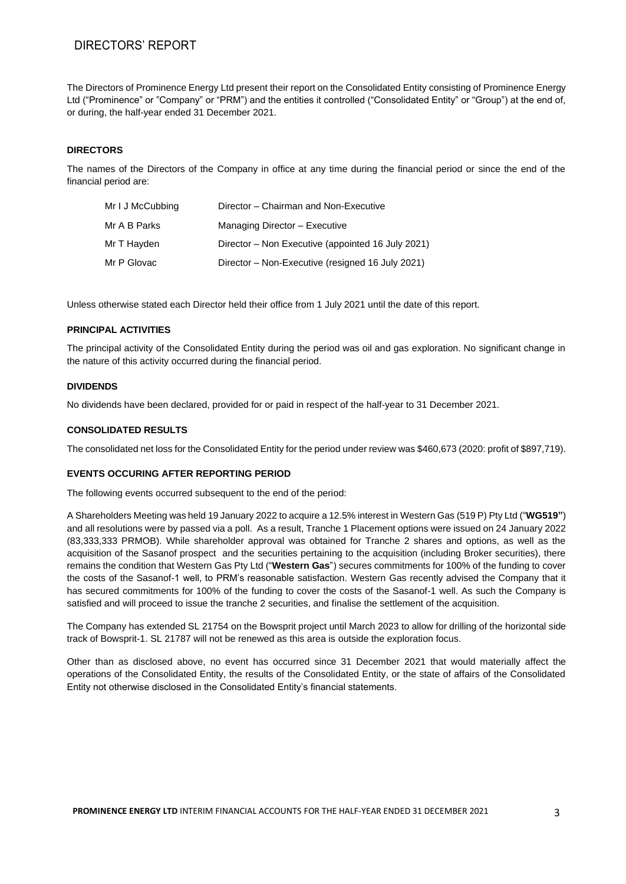# DIRECTORS' REPORT

The Directors of Prominence Energy Ltd present their report on the Consolidated Entity consisting of Prominence Energy Ltd ("Prominence" or "Company" or "PRM") and the entities it controlled ("Consolidated Entity" or "Group") at the end of, or during, the half-year ended 31 December 2021.

## **DIRECTORS**

The names of the Directors of the Company in office at any time during the financial period or since the end of the financial period are:

| Mr I J McCubbing | Director - Chairman and Non-Executive             |
|------------------|---------------------------------------------------|
| Mr A B Parks     | Managing Director - Executive                     |
| Mr T Hayden      | Director – Non Executive (appointed 16 July 2021) |
| Mr P Glovac      | Director - Non-Executive (resigned 16 July 2021)  |

Unless otherwise stated each Director held their office from 1 July 2021 until the date of this report.

#### **PRINCIPAL ACTIVITIES**

The principal activity of the Consolidated Entity during the period was oil and gas exploration. No significant change in the nature of this activity occurred during the financial period.

#### **DIVIDENDS**

No dividends have been declared, provided for or paid in respect of the half-year to 31 December 2021.

#### **CONSOLIDATED RESULTS**

The consolidated net loss for the Consolidated Entity for the period under review was \$460,673 (2020: profit of \$897,719).

#### **EVENTS OCCURING AFTER REPORTING PERIOD**

The following events occurred subsequent to the end of the period:

A Shareholders Meeting was held 19 January 2022 to acquire a 12.5% interest in Western Gas (519 P) Pty Ltd ("**WG519"**) and all resolutions were by passed via a poll. As a result, Tranche 1 Placement options were issued on 24 January 2022 (83,333,333 PRMOB). While shareholder approval was obtained for Tranche 2 shares and options, as well as the acquisition of the Sasanof prospect and the securities pertaining to the acquisition (including Broker securities), there remains the condition that Western Gas Pty Ltd ("**Western Gas**") secures commitments for 100% of the funding to cover the costs of the Sasanof-1 well, to PRM's reasonable satisfaction. Western Gas recently advised the Company that it has secured commitments for 100% of the funding to cover the costs of the Sasanof-1 well. As such the Company is satisfied and will proceed to issue the tranche 2 securities, and finalise the settlement of the acquisition.

The Company has extended SL 21754 on the Bowsprit project until March 2023 to allow for drilling of the horizontal side track of Bowsprit-1. SL 21787 will not be renewed as this area is outside the exploration focus.

Other than as disclosed above, no event has occurred since 31 December 2021 that would materially affect the operations of the Consolidated Entity, the results of the Consolidated Entity, or the state of affairs of the Consolidated Entity not otherwise disclosed in the Consolidated Entity's financial statements.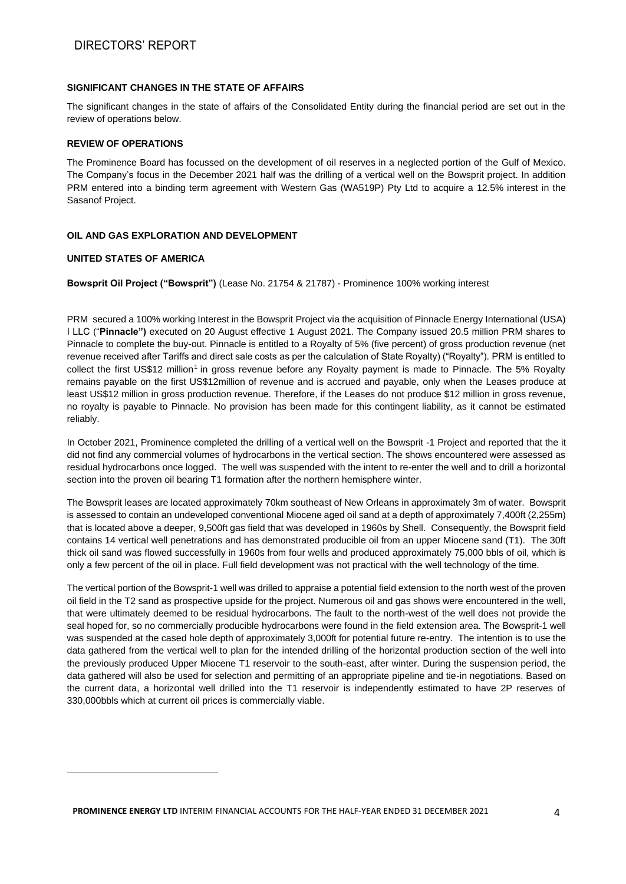## **SIGNIFICANT CHANGES IN THE STATE OF AFFAIRS**

The significant changes in the state of affairs of the Consolidated Entity during the financial period are set out in the review of operations below.

#### **REVIEW OF OPERATIONS**

The Prominence Board has focussed on the development of oil reserves in a neglected portion of the Gulf of Mexico. The Company's focus in the December 2021 half was the drilling of a vertical well on the Bowsprit project. In addition PRM entered into a binding term agreement with Western Gas (WA519P) Pty Ltd to acquire a 12.5% interest in the Sasanof Project.

## **OIL AND GAS EXPLORATION AND DEVELOPMENT**

### **UNITED STATES OF AMERICA**

**Bowsprit Oil Project ("Bowsprit")** (Lease No. 21754 & 21787) - Prominence 100% working interest

PRM secured a 100% working Interest in the Bowsprit Project via the acquisition of Pinnacle Energy International (USA) I LLC ("**Pinnacle")** executed on 20 August effective 1 August 2021. The Company issued 20.5 million PRM shares to Pinnacle to complete the buy-out. Pinnacle is entitled to a Royalty of 5% (five percent) of gross production revenue (net revenue received after Tariffs and direct sale costs as per the calculation of State Royalty) ("Royalty"). PRM is entitled to collect the first US\$12 million<sup>1</sup> in gross revenue before any Royalty payment is made to Pinnacle. The 5% Royalty remains payable on the first US\$12million of revenue and is accrued and payable, only when the Leases produce at least US\$12 million in gross production revenue. Therefore, if the Leases do not produce \$12 million in gross revenue, no royalty is payable to Pinnacle. No provision has been made for this contingent liability, as it cannot be estimated reliably.

In October 2021, Prominence completed the drilling of a vertical well on the Bowsprit -1 Project and reported that the it did not find any commercial volumes of hydrocarbons in the vertical section. The shows encountered were assessed as residual hydrocarbons once logged. The well was suspended with the intent to re-enter the well and to drill a horizontal section into the proven oil bearing T1 formation after the northern hemisphere winter.

The Bowsprit leases are located approximately 70km southeast of New Orleans in approximately 3m of water. Bowsprit is assessed to contain an undeveloped conventional Miocene aged oil sand at a depth of approximately 7,400ft (2,255m) that is located above a deeper, 9,500ft gas field that was developed in 1960s by Shell. Consequently, the Bowsprit field contains 14 vertical well penetrations and has demonstrated producible oil from an upper Miocene sand (T1). The 30ft thick oil sand was flowed successfully in 1960s from four wells and produced approximately 75,000 bbls of oil, which is only a few percent of the oil in place. Full field development was not practical with the well technology of the time.

The vertical portion of the Bowsprit-1 well was drilled to appraise a potential field extension to the north west of the proven oil field in the T2 sand as prospective upside for the project. Numerous oil and gas shows were encountered in the well, that were ultimately deemed to be residual hydrocarbons. The fault to the north-west of the well does not provide the seal hoped for, so no commercially producible hydrocarbons were found in the field extension area. The Bowsprit-1 well was suspended at the cased hole depth of approximately 3,000ft for potential future re-entry. The intention is to use the data gathered from the vertical well to plan for the intended drilling of the horizontal production section of the well into the previously produced Upper Miocene T1 reservoir to the south-east, after winter. During the suspension period, the data gathered will also be used for selection and permitting of an appropriate pipeline and tie-in negotiations. Based on the current data, a horizontal well drilled into the T1 reservoir is independently estimated to have 2P reserves of 330,000bbls which at current oil prices is commercially viable.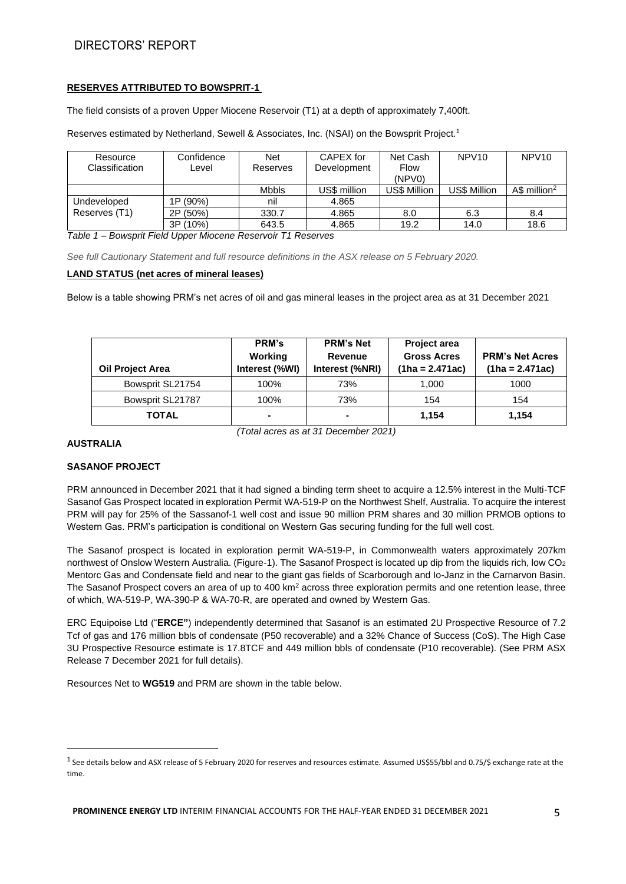# DIRECTORS' REPORT

## **RESERVES ATTRIBUTED TO BOWSPRIT-1**

The field consists of a proven Upper Miocene Reservoir (T1) at a depth of approximately 7,400ft.

Reserves estimated by Netherland, Sewell & Associates, Inc. (NSAI) on the Bowsprit Project.<sup>1</sup>

| Resource<br>Classification | Confidence<br>Level | <b>Net</b><br>Reserves | CAPEX for<br>Development | Net Cash<br><b>Flow</b>       | NPV <sub>10</sub> | NPV <sub>10</sub>         |
|----------------------------|---------------------|------------------------|--------------------------|-------------------------------|-------------------|---------------------------|
|                            |                     | <b>Mbbls</b>           | US\$ million             | (NPVO)<br><b>US\$ Million</b> | US\$ Million      | $AS$ million <sup>2</sup> |
| Undeveloped                | 1P (90%)            | nil                    | 4.865                    |                               |                   |                           |
| Reserves (T1)              | 2P (50%)            | 330.7                  | 4.865                    | 8.0                           | 6.3               | 8.4                       |
|                            | $(10\%)$<br>3P      | 643.5                  | 4.865                    | 19.2                          | 14.0              | 18.6                      |

*Table 1 – Bowsprit Field Upper Miocene Reservoir T1 Reserves* 

*See full Cautionary Statement and full resource definitions in the ASX release on 5 February 2020.*

#### **LAND STATUS (net acres of mineral leases)**

Below is a table showing PRM's net acres of oil and gas mineral leases in the project area as at 31 December 2021

| <b>Oil Project Area</b> | <b>PRM's</b><br>Working<br>Interest (%WI) | <b>PRM's Net</b><br><b>Revenue</b><br>Interest (%NRI) | Project area<br><b>Gross Acres</b><br>(1ha = 2.471ac) | <b>PRM's Net Acres</b><br>$(1ha = 2.471ac)$ |
|-------------------------|-------------------------------------------|-------------------------------------------------------|-------------------------------------------------------|---------------------------------------------|
| Bowsprit SL21754        | 100%                                      | 73%                                                   | 1,000                                                 | 1000                                        |
| Bowsprit SL21787        | 100%                                      | 73%                                                   | 154                                                   | 154                                         |
| TOTAL                   | -                                         | $\blacksquare$                                        | 1.154                                                 | 1.154                                       |

**AUSTRALIA**

## **SASANOF PROJECT**

PRM announced in December 2021 that it had signed a binding term sheet to acquire a 12.5% interest in the Multi-TCF Sasanof Gas Prospect located in exploration Permit WA-519-P on the Northwest Shelf, Australia. To acquire the interest PRM will pay for 25% of the Sassanof-1 well cost and issue 90 million PRM shares and 30 million PRMOB options to Western Gas. PRM's participation is conditional on Western Gas securing funding for the full well cost.

*(Total acres as at 31 December 2021)*

The Sasanof prospect is located in exploration permit WA-519-P, in Commonwealth waters approximately 207km northwest of Onslow Western Australia. (Figure-1). The Sasanof Prospect is located up dip from the liquids rich, low CO<sub>2</sub> Mentorc Gas and Condensate field and near to the giant gas fields of Scarborough and Io-Janz in the Carnarvon Basin. The Sasanof Prospect covers an area of up to 400 km<sup>2</sup> across three exploration permits and one retention lease, three of which, WA-519-P, WA-390-P & WA-70-R, are operated and owned by Western Gas.

ERC Equipoise Ltd ("**ERCE"**) independently determined that Sasanof is an estimated 2U Prospective Resource of 7.2 Tcf of gas and 176 million bbls of condensate (P50 recoverable) and a 32% Chance of Success (CoS). The High Case 3U Prospective Resource estimate is 17.8TCF and 449 million bbls of condensate (P10 recoverable). (See PRM ASX Release 7 December 2021 for full details).

Resources Net to **WG519** and PRM are shown in the table below.

 $^{\rm 1}$  See details below and ASX release of 5 February 2020 for reserves and resources estimate. Assumed US\$55/bbl and 0.75/\$ exchange rate at the time.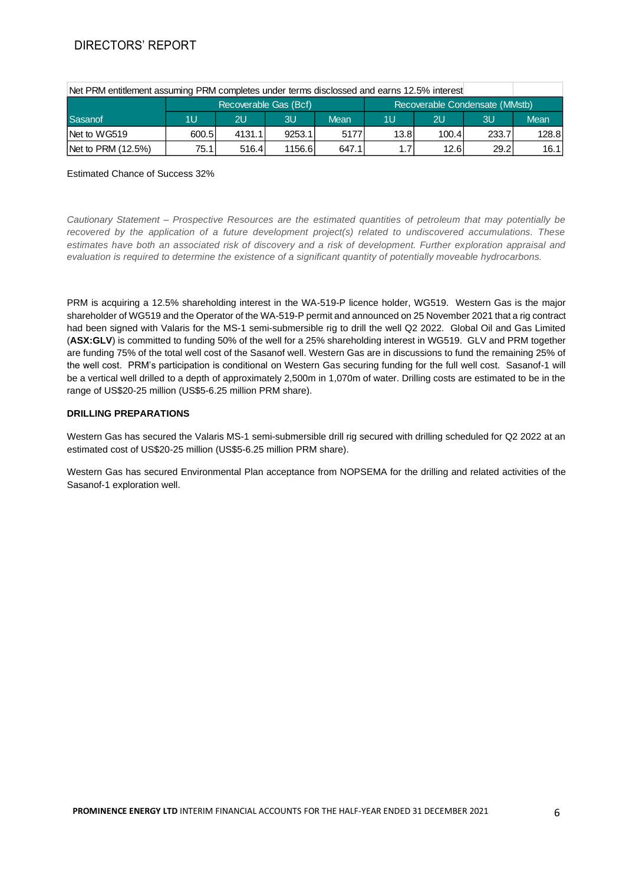# DIRECTORS' REPORT

| Net PRM entitlement assuming PRM completes under terms disclossed and earns 12.5% interest |                                                         |        |         |             |      |       |       |       |
|--------------------------------------------------------------------------------------------|---------------------------------------------------------|--------|---------|-------------|------|-------|-------|-------|
|                                                                                            | Recoverable Condensate (MMstb)<br>Recoverable Gas (Bcf) |        |         |             |      |       |       |       |
| Sasanof                                                                                    | 1U                                                      | 2U     | 3U      | <b>Mean</b> | 1U   | 2U    | 3U    | Mean  |
| INet to WG519                                                                              | 600.5                                                   | 4131.1 | 9253.1  | 5177        | 13.8 | 100.4 | 233.7 | 128.8 |
| Net to PRM (12.5%)                                                                         | 75.1                                                    | 516.4  | 1156.61 | 647.1       | 1.7  | 12.6  | 29.2  | 16.1  |

### Estimated Chance of Success 32%

*Cautionary Statement – Prospective Resources are the estimated quantities of petroleum that may potentially be recovered by the application of a future development project(s) related to undiscovered accumulations. These estimates have both an associated risk of discovery and a risk of development. Further exploration appraisal and evaluation is required to determine the existence of a significant quantity of potentially moveable hydrocarbons.*

PRM is acquiring a 12.5% shareholding interest in the WA-519-P licence holder, WG519. Western Gas is the major shareholder of WG519 and the Operator of the WA-519-P permit and announced on 25 November 2021 that a rig contract had been signed with Valaris for the MS-1 semi-submersible rig to drill the well Q2 2022. Global Oil and Gas Limited (**ASX:GLV**) is committed to funding 50% of the well for a 25% shareholding interest in WG519. GLV and PRM together are funding 75% of the total well cost of the Sasanof well. Western Gas are in discussions to fund the remaining 25% of the well cost. PRM's participation is conditional on Western Gas securing funding for the full well cost. Sasanof-1 will be a vertical well drilled to a depth of approximately 2,500m in 1,070m of water. Drilling costs are estimated to be in the range of US\$20-25 million (US\$5-6.25 million PRM share).

## **DRILLING PREPARATIONS**

Western Gas has secured the Valaris MS-1 semi-submersible drill rig secured with drilling scheduled for Q2 2022 at an estimated cost of US\$20-25 million (US\$5-6.25 million PRM share).

Western Gas has secured Environmental Plan acceptance from NOPSEMA for the drilling and related activities of the Sasanof-1 exploration well.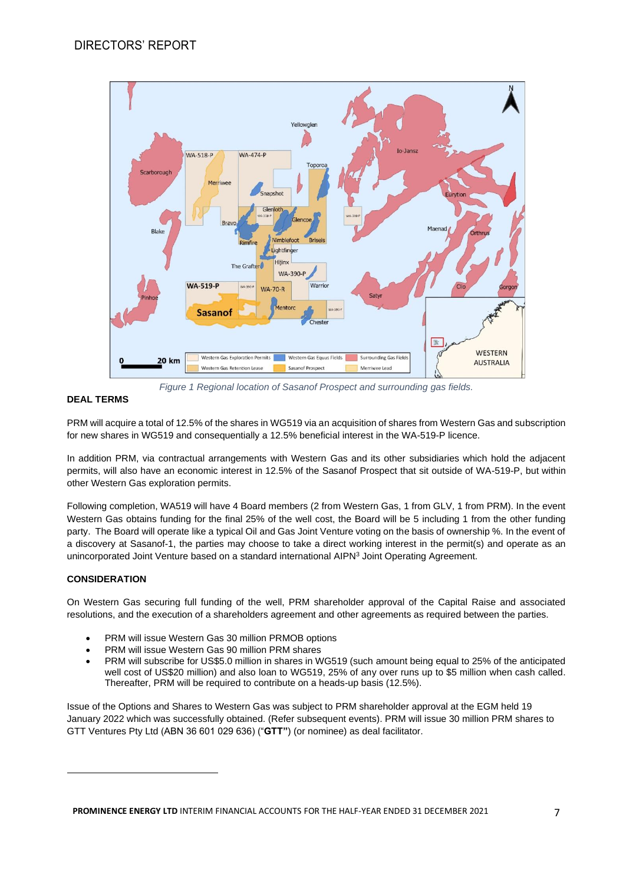

## **DEAL TERMS**

PRM will acquire a total of 12.5% of the shares in WG519 via an acquisition of shares from Western Gas and subscription for new shares in WG519 and consequentially a 12.5% beneficial interest in the WA-519-P licence.

In addition PRM, via contractual arrangements with Western Gas and its other subsidiaries which hold the adjacent permits, will also have an economic interest in 12.5% of the Sasanof Prospect that sit outside of WA-519-P, but within other Western Gas exploration permits.

Following completion, WA519 will have 4 Board members (2 from Western Gas, 1 from GLV, 1 from PRM). In the event Western Gas obtains funding for the final 25% of the well cost, the Board will be 5 including 1 from the other funding party. The Board will operate like a typical Oil and Gas Joint Venture voting on the basis of ownership %. In the event of a discovery at Sasanof-1, the parties may choose to take a direct working interest in the permit(s) and operate as an unincorporated Joint Venture based on a standard international AIPN<sup>3</sup> Joint Operating Agreement.

## **CONSIDERATION**

On Western Gas securing full funding of the well, PRM shareholder approval of the Capital Raise and associated resolutions, and the execution of a shareholders agreement and other agreements as required between the parties.

- PRM will issue Western Gas 30 million PRMOB options
- PRM will issue Western Gas 90 million PRM shares
- PRM will subscribe for US\$5.0 million in shares in WG519 (such amount being equal to 25% of the anticipated well cost of US\$20 million) and also loan to WG519, 25% of any over runs up to \$5 million when cash called. Thereafter, PRM will be required to contribute on a heads-up basis (12.5%).

Issue of the Options and Shares to Western Gas was subject to PRM shareholder approval at the EGM held 19 January 2022 which was successfully obtained. (Refer subsequent events). PRM will issue 30 million PRM shares to GTT Ventures Pty Ltd (ABN 36 601 029 636) ("**GTT"**) (or nominee) as deal facilitator.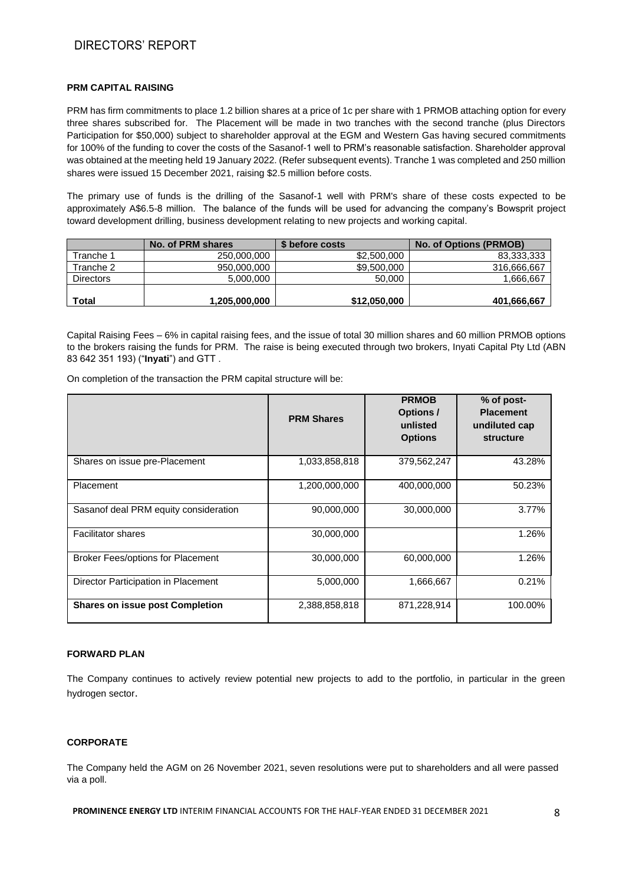# DIRECTORS' REPORT

## **PRM CAPITAL RAISING**

PRM has firm commitments to place 1.2 billion shares at a price of 1c per share with 1 PRMOB attaching option for every three shares subscribed for. The Placement will be made in two tranches with the second tranche (plus Directors Participation for \$50,000) subject to shareholder approval at the EGM and Western Gas having secured commitments for 100% of the funding to cover the costs of the Sasanof-1 well to PRM's reasonable satisfaction. Shareholder approval was obtained at the meeting held 19 January 2022. (Refer subsequent events). Tranche 1 was completed and 250 million shares were issued 15 December 2021, raising \$2.5 million before costs.

The primary use of funds is the drilling of the Sasanof-1 well with PRM's share of these costs expected to be approximately A\$6.5-8 million. The balance of the funds will be used for advancing the company's Bowsprit project toward development drilling, business development relating to new projects and working capital.

|                  | No. of PRM shares | \$ before costs | No. of Options (PRMOB) |
|------------------|-------------------|-----------------|------------------------|
| Tranche 1        | 250,000,000       | \$2,500,000     | 83,333,333             |
| Tranche 2        | 950,000,000       | \$9,500,000     | 316.666.667            |
| <b>Directors</b> | 5.000.000         | 50,000          | .666,667               |
| Total            | 1.205.000.000     | \$12,050,000    | 401,666,667            |

Capital Raising Fees – 6% in capital raising fees, and the issue of total 30 million shares and 60 million PRMOB options to the brokers raising the funds for PRM. The raise is being executed through two brokers, Inyati Capital Pty Ltd (ABN 83 642 351 193) ("**Inyati**") and GTT .

On completion of the transaction the PRM capital structure will be:

|                                          | <b>PRM Shares</b> | <b>PRMOB</b><br><b>Options/</b><br>unlisted<br><b>Options</b> | % of post-<br><b>Placement</b><br>undiluted cap<br>structure |
|------------------------------------------|-------------------|---------------------------------------------------------------|--------------------------------------------------------------|
| Shares on issue pre-Placement            | 1,033,858,818     | 379,562,247                                                   | 43.28%                                                       |
| Placement                                | 1,200,000,000     | 400,000,000                                                   | 50.23%                                                       |
| Sasanof deal PRM equity consideration    | 90,000,000        | 30,000,000                                                    | 3.77%                                                        |
| <b>Facilitator shares</b>                | 30,000,000        |                                                               | 1.26%                                                        |
| <b>Broker Fees/options for Placement</b> | 30,000,000        | 60,000,000                                                    | 1.26%                                                        |
| Director Participation in Placement      | 5,000,000         | 1,666,667                                                     | 0.21%                                                        |
| <b>Shares on issue post Completion</b>   | 2,388,858,818     | 871,228,914                                                   | 100.00%                                                      |

#### **FORWARD PLAN**

The Company continues to actively review potential new projects to add to the portfolio, in particular in the green hydrogen sector.

#### **CORPORATE**

The Company held the AGM on 26 November 2021, seven resolutions were put to shareholders and all were passed via a poll.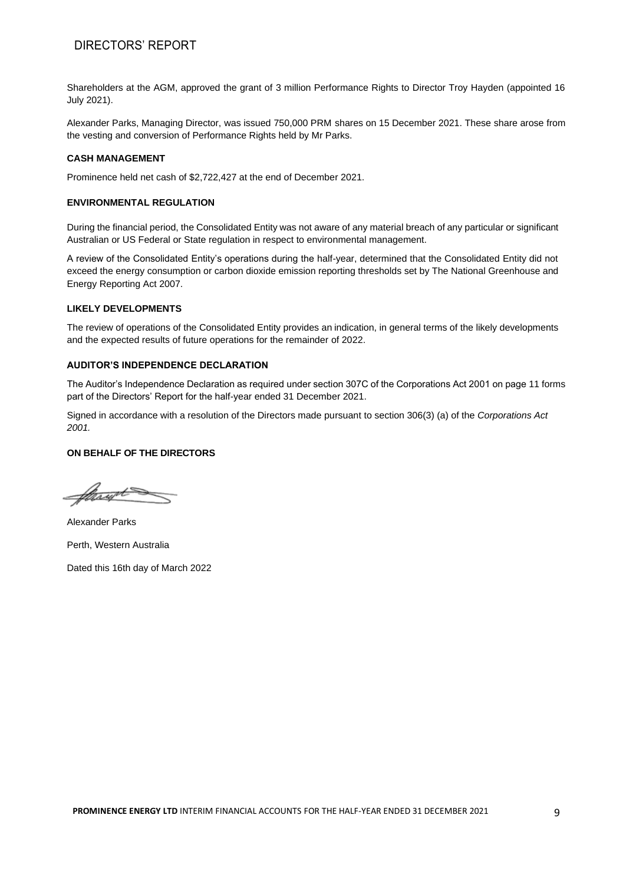# DIRECTORS' REPORT

Shareholders at the AGM, approved the grant of 3 million Performance Rights to Director Troy Hayden (appointed 16 July 2021).

Alexander Parks, Managing Director, was issued 750,000 PRM shares on 15 December 2021. These share arose from the vesting and conversion of Performance Rights held by Mr Parks.

#### **CASH MANAGEMENT**

Prominence held net cash of \$2,722,427 at the end of December 2021.

#### **ENVIRONMENTAL REGULATION**

During the financial period, the Consolidated Entity was not aware of any material breach of any particular or significant Australian or US Federal or State regulation in respect to environmental management.

A review of the Consolidated Entity's operations during the half-year, determined that the Consolidated Entity did not exceed the energy consumption or carbon dioxide emission reporting thresholds set by The National Greenhouse and Energy Reporting Act 2007.

#### **LIKELY DEVELOPMENTS**

The review of operations of the Consolidated Entity provides an indication, in general terms of the likely developments and the expected results of future operations for the remainder of 2022.

#### **AUDITOR'S INDEPENDENCE DECLARATION**

The Auditor's Independence Declaration as required under section 307C of the Corporations Act 2001 on page 11 forms part of the Directors' Report for the half-year ended 31 December 2021.

Signed in accordance with a resolution of the Directors made pursuant to section 306(3) (a) of the *Corporations Act 2001.*

#### **ON BEHALF OF THE DIRECTORS**

Strugt

Alexander Parks Perth, Western Australia

Dated this 16th day of March 2022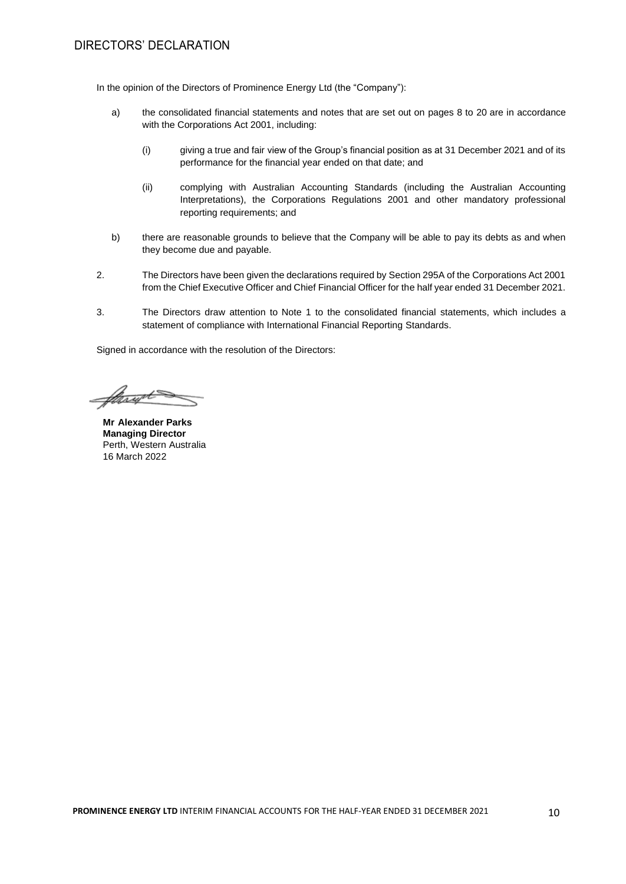In the opinion of the Directors of Prominence Energy Ltd (the "Company"):

- a) the consolidated financial statements and notes that are set out on pages 8 to 20 are in accordance with the Corporations Act 2001, including:
	- (i) giving a true and fair view of the Group's financial position as at 31 December 2021 and of its performance for the financial year ended on that date; and
	- (ii) complying with Australian Accounting Standards (including the Australian Accounting Interpretations), the Corporations Regulations 2001 and other mandatory professional reporting requirements; and
- b) there are reasonable grounds to believe that the Company will be able to pay its debts as and when they become due and payable.
- 2. The Directors have been given the declarations required by Section 295A of the Corporations Act 2001 from the Chief Executive Officer and Chief Financial Officer for the half year ended 31 December 2021.
- 3. The Directors draw attention to Note 1 to the consolidated financial statements, which includes a statement of compliance with International Financial Reporting Standards.

Signed in accordance with the resolution of the Directors:

Mayot

**Mr Alexander Parks Managing Director**  Perth, Western Australia 16 March 2022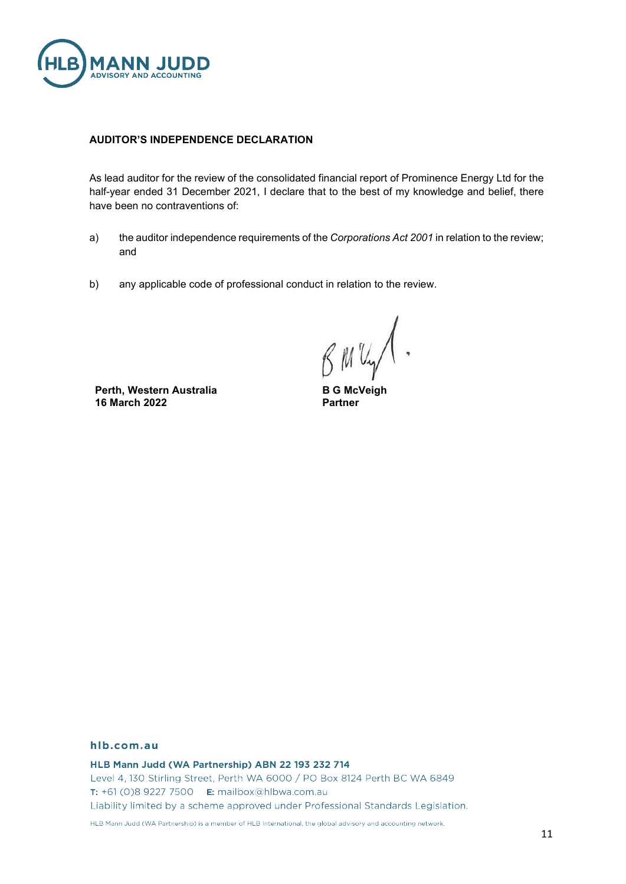

## **AUDITOR'S INDEPENDENCE DECLARATION**

As lead auditor for the review of the consolidated financial report of Prominence Energy Ltd for the half-year ended 31 December 2021, I declare that to the best of my knowledge and belief, there have been no contraventions of:

- a) the auditor independence requirements of the *Corporations Act 2001* in relation to the review; and
- b) any applicable code of professional conduct in relation to the review.

**Perth, Western Australia 16 March 2022**

**B G McVeigh Partner**

## hlb.com.au

HLB Mann Judd (WA Partnership) ABN 22 193 232 714

Level 4, 130 Stirling Street, Perth WA 6000 / PO Box 8124 Perth BC WA 6849 T: +61 (0)8 9227 7500 **E:** mailbox@hlbwa.com.au Liability limited by a scheme approved under Professional Standards Legislation.

HLB Mann Judd (WA Partnership) is a member of HLB International, the global advisory and accounting network.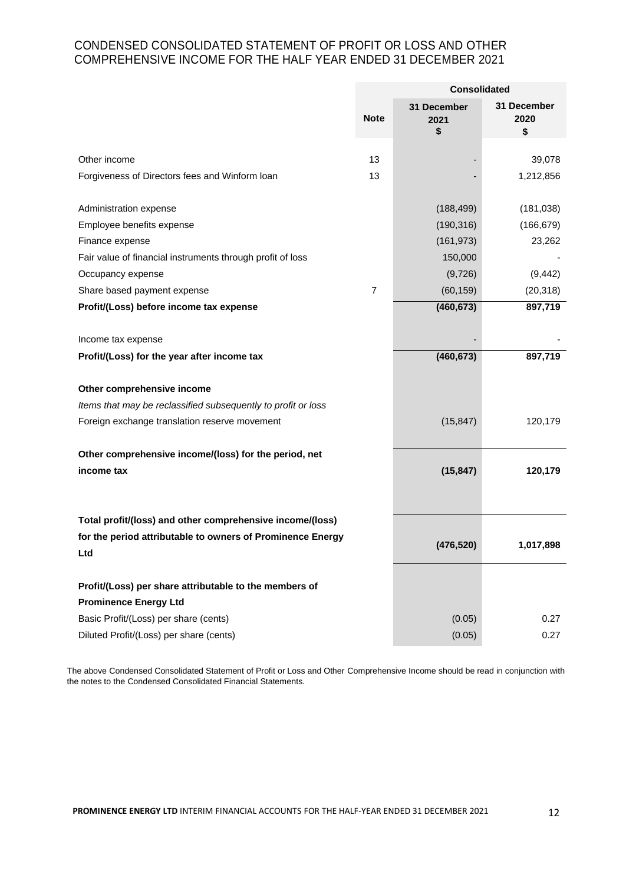# CONDENSED CONSOLIDATED STATEMENT OF PROFIT OR LOSS AND OTHER COMPREHENSIVE INCOME FOR THE HALF YEAR ENDED 31 DECEMBER 2021

|                                                               |                | <b>Consolidated</b>       |                           |  |
|---------------------------------------------------------------|----------------|---------------------------|---------------------------|--|
|                                                               | <b>Note</b>    | 31 December<br>2021<br>\$ | 31 December<br>2020<br>\$ |  |
| Other income                                                  | 13             |                           | 39,078                    |  |
| Forgiveness of Directors fees and Winform loan                | 13             |                           | 1,212,856                 |  |
|                                                               |                |                           |                           |  |
| Administration expense                                        |                | (188, 499)                | (181, 038)                |  |
| Employee benefits expense                                     |                | (190, 316)                | (166, 679)                |  |
| Finance expense                                               |                | (161, 973)                | 23,262                    |  |
| Fair value of financial instruments through profit of loss    |                | 150,000                   |                           |  |
| Occupancy expense                                             |                | (9,726)                   | (9, 442)                  |  |
| Share based payment expense                                   | $\overline{7}$ | (60, 159)                 | (20, 318)                 |  |
| Profit/(Loss) before income tax expense                       |                | (460, 673)                | 897,719                   |  |
|                                                               |                |                           |                           |  |
| Income tax expense                                            |                |                           |                           |  |
| Profit/(Loss) for the year after income tax                   |                | (460, 673)                | 897,719                   |  |
|                                                               |                |                           |                           |  |
| Other comprehensive income                                    |                |                           |                           |  |
| Items that may be reclassified subsequently to profit or loss |                |                           |                           |  |
| Foreign exchange translation reserve movement                 |                | (15, 847)                 | 120,179                   |  |
| Other comprehensive income/(loss) for the period, net         |                |                           |                           |  |
| income tax                                                    |                | (15, 847)                 | 120,179                   |  |
|                                                               |                |                           |                           |  |
|                                                               |                |                           |                           |  |
| Total profit/(loss) and other comprehensive income/(loss)     |                |                           |                           |  |
| for the period attributable to owners of Prominence Energy    |                | (476, 520)                | 1,017,898                 |  |
| Ltd                                                           |                |                           |                           |  |
|                                                               |                |                           |                           |  |
| Profit/(Loss) per share attributable to the members of        |                |                           |                           |  |
| <b>Prominence Energy Ltd</b>                                  |                |                           |                           |  |
| Basic Profit/(Loss) per share (cents)                         |                | (0.05)                    | 0.27                      |  |
| Diluted Profit/(Loss) per share (cents)                       |                | (0.05)                    | 0.27                      |  |

The above Condensed Consolidated Statement of Profit or Loss and Other Comprehensive Income should be read in conjunction with the notes to the Condensed Consolidated Financial Statements.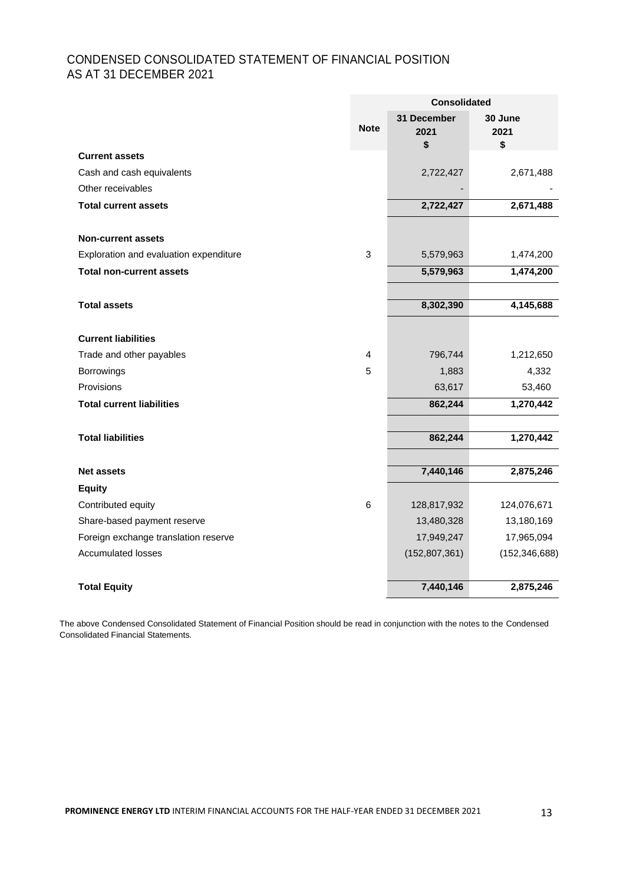# CONDENSED CONSOLIDATED STATEMENT OF FINANCIAL POSITION AS AT 31 DECEMBER 2021

|                                        | <b>Consolidated</b> |                           |                       |  |
|----------------------------------------|---------------------|---------------------------|-----------------------|--|
|                                        | <b>Note</b>         | 31 December<br>2021<br>\$ | 30 June<br>2021<br>\$ |  |
| <b>Current assets</b>                  |                     |                           |                       |  |
| Cash and cash equivalents              |                     | 2,722,427                 | 2,671,488             |  |
| Other receivables                      |                     |                           |                       |  |
| <b>Total current assets</b>            |                     | 2,722,427                 | 2,671,488             |  |
| <b>Non-current assets</b>              |                     |                           |                       |  |
| Exploration and evaluation expenditure | 3                   | 5,579,963                 | 1,474,200             |  |
| <b>Total non-current assets</b>        |                     | 5,579,963                 | 1,474,200             |  |
|                                        |                     |                           |                       |  |
| <b>Total assets</b>                    |                     | 8,302,390                 | 4,145,688             |  |
| <b>Current liabilities</b>             |                     |                           |                       |  |
| Trade and other payables               | 4                   | 796,744                   | 1,212,650             |  |
| <b>Borrowings</b>                      | 5                   | 1,883                     | 4,332                 |  |
| Provisions                             |                     | 63,617                    | 53,460                |  |
| <b>Total current liabilities</b>       |                     | 862,244                   | 1,270,442             |  |
| <b>Total liabilities</b>               |                     | 862,244                   | 1,270,442             |  |
|                                        |                     |                           |                       |  |
| <b>Net assets</b>                      |                     | 7,440,146                 | 2,875,246             |  |
| <b>Equity</b>                          |                     |                           |                       |  |
| Contributed equity                     | 6                   | 128,817,932               | 124,076,671           |  |
| Share-based payment reserve            |                     | 13,480,328                | 13,180,169            |  |
| Foreign exchange translation reserve   |                     | 17,949,247                | 17,965,094            |  |
| <b>Accumulated losses</b>              |                     | (152, 807, 361)           | (152, 346, 688)       |  |
| <b>Total Equity</b>                    |                     | 7,440,146                 | 2,875,246             |  |

The above Condensed Consolidated Statement of Financial Position should be read in conjunction with the notes to the Condensed Consolidated Financial Statements.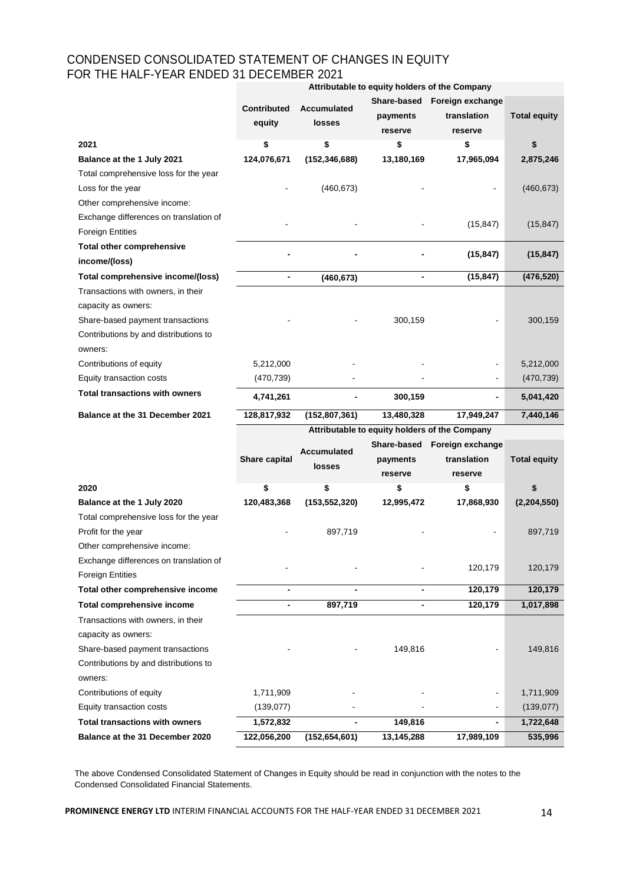## CONDENSED CONSOLIDATED STATEMENT OF CHANGES IN EQUITY FOR THE HALF-YEAR ENDED 31 DECEMBER 2021 **Attributable to equity holders of the Company**

|                                                                           |                                               |                       |                                    | Attributable to equity holders or the Company |                     |  |  |  |
|---------------------------------------------------------------------------|-----------------------------------------------|-----------------------|------------------------------------|-----------------------------------------------|---------------------|--|--|--|
|                                                                           | <b>Contributed</b><br>equity                  | Accumulated<br>losses | Share-based<br>payments<br>reserve | Foreign exchange<br>translation<br>reserve    | <b>Total equity</b> |  |  |  |
| 2021                                                                      | \$                                            | \$                    | \$                                 | \$                                            | \$                  |  |  |  |
| Balance at the 1 July 2021                                                | 124,076,671                                   | (152, 346, 688)       | 13,180,169                         | 17,965,094                                    | 2,875,246           |  |  |  |
| Total comprehensive loss for the year                                     |                                               |                       |                                    |                                               |                     |  |  |  |
| Loss for the year                                                         |                                               | (460, 673)            |                                    |                                               | (460, 673)          |  |  |  |
| Other comprehensive income:                                               |                                               |                       |                                    |                                               |                     |  |  |  |
| Exchange differences on translation of                                    |                                               |                       |                                    |                                               |                     |  |  |  |
| <b>Foreign Entities</b>                                                   |                                               |                       |                                    | (15, 847)                                     | (15, 847)           |  |  |  |
| <b>Total other comprehensive</b>                                          |                                               |                       |                                    |                                               |                     |  |  |  |
| income/(loss)                                                             |                                               |                       |                                    | (15, 847)                                     | (15, 847)           |  |  |  |
| Total comprehensive income/(loss)                                         |                                               | (460, 673)            |                                    | (15, 847)                                     | (476, 520)          |  |  |  |
| Transactions with owners, in their                                        |                                               |                       |                                    |                                               |                     |  |  |  |
| capacity as owners:                                                       |                                               |                       |                                    |                                               |                     |  |  |  |
| Share-based payment transactions                                          |                                               |                       | 300,159                            |                                               | 300,159             |  |  |  |
| Contributions by and distributions to                                     |                                               |                       |                                    |                                               |                     |  |  |  |
| owners:                                                                   |                                               |                       |                                    |                                               |                     |  |  |  |
| Contributions of equity                                                   | 5,212,000                                     |                       |                                    |                                               | 5,212,000           |  |  |  |
| Equity transaction costs                                                  | (470, 739)                                    |                       |                                    |                                               | (470, 739)          |  |  |  |
| <b>Total transactions with owners</b>                                     | 4,741,261                                     |                       | 300,159                            |                                               | 5,041,420           |  |  |  |
| Balance at the 31 December 2021                                           | 128,817,932                                   | (152, 807, 361)       | 13,480,328                         | 17,949,247                                    | 7,440,146           |  |  |  |
|                                                                           | Attributable to equity holders of the Company |                       |                                    |                                               |                     |  |  |  |
|                                                                           |                                               | Accumulated           | Share-based                        | Foreign exchange                              |                     |  |  |  |
|                                                                           | Share capital                                 | losses                | payments                           | translation                                   | <b>Total equity</b> |  |  |  |
|                                                                           |                                               |                       | reserve                            | reserve                                       |                     |  |  |  |
| 2020                                                                      | \$                                            | \$                    | \$                                 | \$                                            | \$                  |  |  |  |
| Balance at the 1 July 2020                                                | 120,483,368                                   | (153, 552, 320)       | 12,995,472                         | 17,868,930                                    | (2,204,550)         |  |  |  |
| Total comprehensive loss for the year                                     |                                               |                       |                                    |                                               |                     |  |  |  |
| Profit for the year                                                       |                                               | 897,719               |                                    |                                               | 897,719             |  |  |  |
| Other comprehensive income:                                               |                                               |                       |                                    |                                               |                     |  |  |  |
| Exchange differences on translation of                                    |                                               |                       |                                    | 120,179                                       | 120,179             |  |  |  |
| <b>Foreign Entities</b>                                                   |                                               |                       |                                    |                                               |                     |  |  |  |
| Total other comprehensive income                                          | -                                             |                       |                                    | 120,179                                       | 120,179             |  |  |  |
| <b>Total comprehensive income</b>                                         | $\overline{\phantom{a}}$                      | 897,719               | $\blacksquare$                     | 120,179                                       | 1,017,898           |  |  |  |
| Transactions with owners, in their                                        |                                               |                       |                                    |                                               |                     |  |  |  |
| capacity as owners:                                                       |                                               |                       |                                    |                                               |                     |  |  |  |
| Share-based payment transactions<br>Contributions by and distributions to |                                               |                       | 149,816                            |                                               | 149,816             |  |  |  |
| owners:                                                                   |                                               |                       |                                    |                                               |                     |  |  |  |
|                                                                           |                                               |                       |                                    |                                               |                     |  |  |  |

The above Condensed Consolidated Statement of Changes in Equity should be read in conjunction with the notes to the Condensed Consolidated Financial Statements.

Contributions of equity 1,711,909 1,711,909 1,711,909 Equity transaction costs (139,077) and the costs (139,077) and the costs of the costs of the costs (139,077) **Total transactions with owners 1,572,832 - 149,816 - 1,722,648 Balance at the 31 December 2020 122,056,200 (152,654,601) 13,145,288 17,989,109 535,996**

**PROMINENCE ENERGY LTD** INTERIM FINANCIAL ACCOUNTS FOR THE HALF-YEAR ENDED 31 DECEMBER 2021 14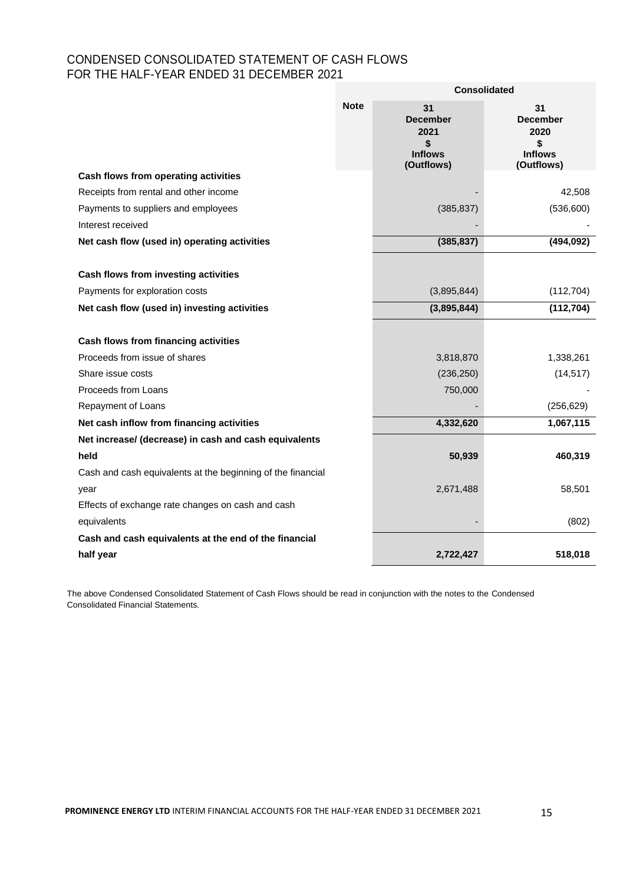# CONDENSED CONSOLIDATED STATEMENT OF CASH FLOWS FOR THE HALF-YEAR ENDED 31 DECEMBER 2021

|                                                                        |             | <b>Consolidated</b>                                                 |                                                                     |  |  |
|------------------------------------------------------------------------|-------------|---------------------------------------------------------------------|---------------------------------------------------------------------|--|--|
|                                                                        | <b>Note</b> | 31<br><b>December</b><br>2021<br>\$<br><b>Inflows</b><br>(Outflows) | 31<br><b>December</b><br>2020<br>\$<br><b>Inflows</b><br>(Outflows) |  |  |
| Cash flows from operating activities                                   |             |                                                                     |                                                                     |  |  |
| Receipts from rental and other income                                  |             |                                                                     | 42,508                                                              |  |  |
| Payments to suppliers and employees                                    |             | (385, 837)                                                          | (536, 600)                                                          |  |  |
| Interest received                                                      |             |                                                                     |                                                                     |  |  |
| Net cash flow (used in) operating activities                           |             | (385, 837)                                                          | (494, 092)                                                          |  |  |
| Cash flows from investing activities<br>Payments for exploration costs |             | (3,895,844)                                                         | (112, 704)                                                          |  |  |
|                                                                        |             |                                                                     |                                                                     |  |  |
| Net cash flow (used in) investing activities                           |             | (3,895,844)                                                         | (112, 704)                                                          |  |  |
| Cash flows from financing activities                                   |             |                                                                     |                                                                     |  |  |
| Proceeds from issue of shares                                          |             | 3,818,870                                                           | 1,338,261                                                           |  |  |
| Share issue costs                                                      |             | (236, 250)                                                          | (14, 517)                                                           |  |  |
| Proceeds from Loans                                                    |             | 750,000                                                             |                                                                     |  |  |
| Repayment of Loans                                                     |             |                                                                     | (256, 629)                                                          |  |  |
| Net cash inflow from financing activities                              |             | 4,332,620                                                           | 1,067,115                                                           |  |  |
| Net increase/ (decrease) in cash and cash equivalents                  |             |                                                                     |                                                                     |  |  |
| held                                                                   |             | 50,939                                                              | 460,319                                                             |  |  |
| Cash and cash equivalents at the beginning of the financial            |             |                                                                     |                                                                     |  |  |
| year                                                                   |             | 2,671,488                                                           | 58,501                                                              |  |  |
| Effects of exchange rate changes on cash and cash                      |             |                                                                     |                                                                     |  |  |
| equivalents                                                            |             |                                                                     | (802)                                                               |  |  |
| Cash and cash equivalents at the end of the financial                  |             |                                                                     |                                                                     |  |  |
| half year                                                              |             | 2,722,427                                                           | 518,018                                                             |  |  |

The above Condensed Consolidated Statement of Cash Flows should be read in conjunction with the notes to the Condensed Consolidated Financial Statements.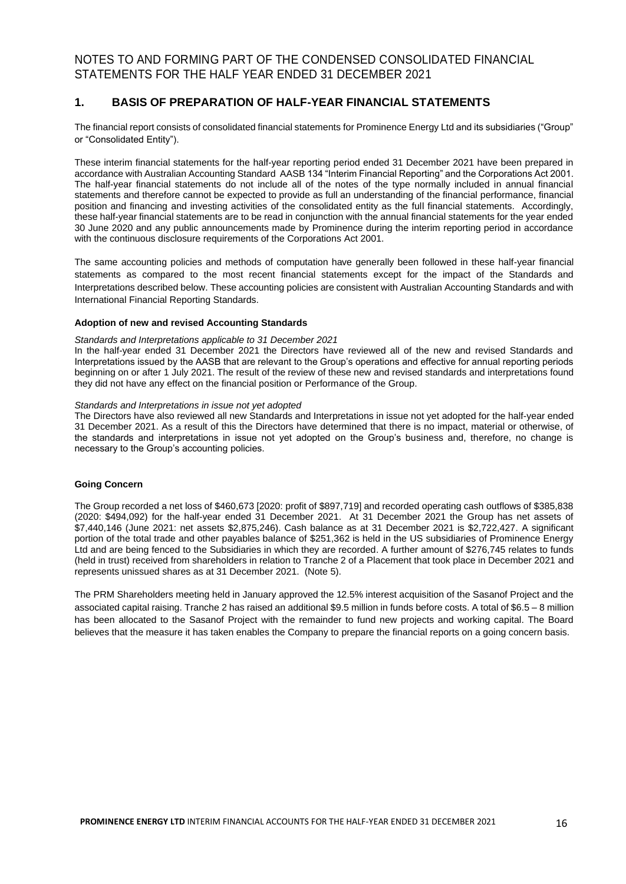## **1. BASIS OF PREPARATION OF HALF-YEAR FINANCIAL STATEMENTS**

The financial report consists of consolidated financial statements for Prominence Energy Ltd and its subsidiaries ("Group" or "Consolidated Entity").

These interim financial statements for the half-year reporting period ended 31 December 2021 have been prepared in accordance with Australian Accounting Standard AASB 134 "Interim Financial Reporting" and the Corporations Act 2001. The half-year financial statements do not include all of the notes of the type normally included in annual financial statements and therefore cannot be expected to provide as full an understanding of the financial performance, financial position and financing and investing activities of the consolidated entity as the full financial statements. Accordingly, these half-year financial statements are to be read in conjunction with the annual financial statements for the year ended 30 June 2020 and any public announcements made by Prominence during the interim reporting period in accordance with the continuous disclosure requirements of the Corporations Act 2001.

The same accounting policies and methods of computation have generally been followed in these half-year financial statements as compared to the most recent financial statements except for the impact of the Standards and Interpretations described below. These accounting policies are consistent with Australian Accounting Standards and with International Financial Reporting Standards.

#### **Adoption of new and revised Accounting Standards**

#### *Standards and Interpretations applicable to 31 December 2021*

In the half-year ended 31 December 2021 the Directors have reviewed all of the new and revised Standards and Interpretations issued by the AASB that are relevant to the Group's operations and effective for annual reporting periods beginning on or after 1 July 2021. The result of the review of these new and revised standards and interpretations found they did not have any effect on the financial position or Performance of the Group.

#### *Standards and Interpretations in issue not yet adopted*

The Directors have also reviewed all new Standards and Interpretations in issue not yet adopted for the half-year ended 31 December 2021. As a result of this the Directors have determined that there is no impact, material or otherwise, of the standards and interpretations in issue not yet adopted on the Group's business and, therefore, no change is necessary to the Group's accounting policies.

#### **Going Concern**

The Group recorded a net loss of \$460,673 [2020: profit of \$897,719] and recorded operating cash outflows of \$385,838 (2020: \$494,092) for the half-year ended 31 December 2021. At 31 December 2021 the Group has net assets of \$7,440,146 (June 2021: net assets \$2,875,246). Cash balance as at 31 December 2021 is \$2,722,427. A significant portion of the total trade and other payables balance of \$251,362 is held in the US subsidiaries of Prominence Energy Ltd and are being fenced to the Subsidiaries in which they are recorded. A further amount of \$276,745 relates to funds (held in trust) received from shareholders in relation to Tranche 2 of a Placement that took place in December 2021 and represents unissued shares as at 31 December 2021. (Note 5).

The PRM Shareholders meeting held in January approved the 12.5% interest acquisition of the Sasanof Project and the associated capital raising. Tranche 2 has raised an additional \$9.5 million in funds before costs. A total of \$6.5 – 8 million has been allocated to the Sasanof Project with the remainder to fund new projects and working capital. The Board believes that the measure it has taken enables the Company to prepare the financial reports on a going concern basis.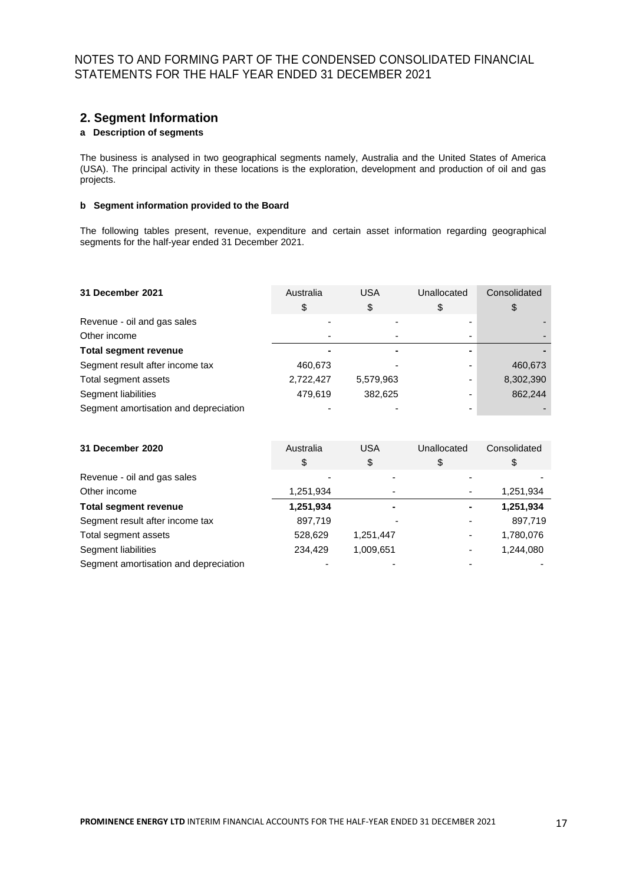## **2. Segment Information**

## **a Description of segments**

The business is analysed in two geographical segments namely, Australia and the United States of America (USA). The principal activity in these locations is the exploration, development and production of oil and gas projects.

## **b Segment information provided to the Board**

The following tables present, revenue, expenditure and certain asset information regarding geographical segments for the half-year ended 31 December 2021.

| 31 December 2021                      | Australia | <b>USA</b> | Unallocated              | Consolidated |
|---------------------------------------|-----------|------------|--------------------------|--------------|
|                                       | \$        | \$         | \$                       |              |
| Revenue - oil and gas sales           |           |            |                          |              |
| Other income                          |           |            | $\overline{\phantom{0}}$ |              |
| <b>Total segment revenue</b>          |           |            |                          |              |
| Segment result after income tax       | 460,673   |            |                          | 460,673      |
| Total segment assets                  | 2,722,427 | 5,579,963  | -                        | 8,302,390    |
| Segment liabilities                   | 479.619   | 382,625    | -                        | 862,244      |
| Segment amortisation and depreciation |           |            | -                        |              |

| 31 December 2020                      | Australia | <b>USA</b> | Unallocated | Consolidated |
|---------------------------------------|-----------|------------|-------------|--------------|
|                                       | \$        | \$         | \$          | \$           |
| Revenue - oil and gas sales           |           |            |             |              |
| Other income                          | 1,251,934 |            |             | 1,251,934    |
| <b>Total segment revenue</b>          | 1,251,934 |            |             | 1,251,934    |
| Segment result after income tax       | 897.719   |            |             | 897.719      |
| Total segment assets                  | 528,629   | 1,251,447  |             | 1,780,076    |
| Segment liabilities                   | 234.429   | 1,009,651  | ٠           | 1.244.080    |
| Segment amortisation and depreciation |           |            |             |              |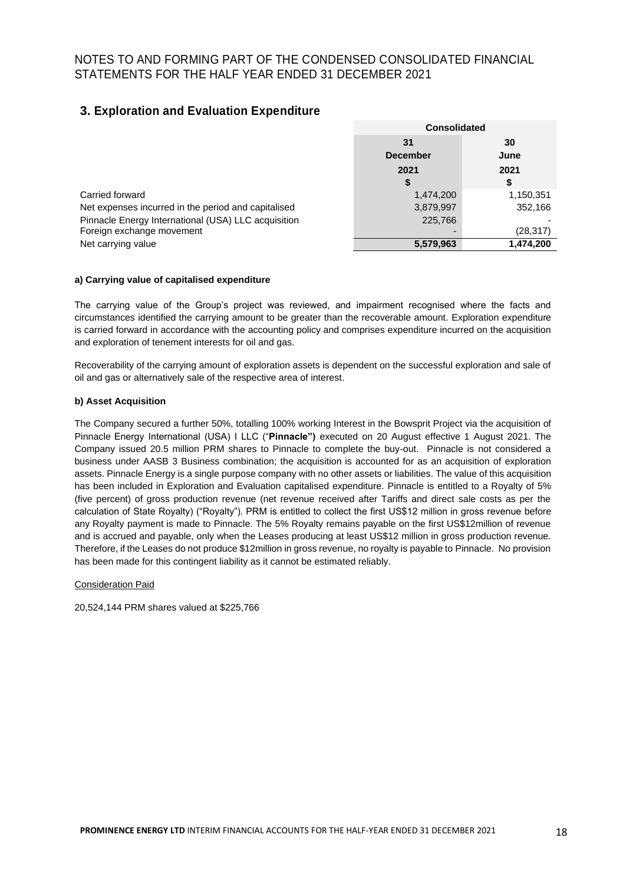# **3. Exploration and Evaluation Expenditure**

|                                                     |                 | <b>Consolidated</b> |  |
|-----------------------------------------------------|-----------------|---------------------|--|
|                                                     | 31              | 30                  |  |
|                                                     | <b>December</b> | June                |  |
|                                                     | 2021            | 2021                |  |
|                                                     | \$              | S                   |  |
| Carried forward                                     | 1,474,200       | 1,150,351           |  |
| Net expenses incurred in the period and capitalised | 3,879,997       | 352,166             |  |
| Pinnacle Energy International (USA) LLC acquisition | 225,766         |                     |  |
| Foreign exchange movement                           |                 | (28,317)            |  |
| Net carrying value                                  | 5,579,963       | 1.474.200           |  |

## **a) Carrying value of capitalised expenditure**

The carrying value of the Group's project was reviewed, and impairment recognised where the facts and circumstances identified the carrying amount to be greater than the recoverable amount. Exploration expenditure is carried forward in accordance with the accounting policy and comprises expenditure incurred on the acquisition and exploration of tenement interests for oil and gas.

Recoverability of the carrying amount of exploration assets is dependent on the successful exploration and sale of oil and gas or alternatively sale of the respective area of interest.

#### **b) Asset Acquisition**

The Company secured a further 50%, totalling 100% working Interest in the Bowsprit Project via the acquisition of Pinnacle Energy International (USA) I LLC ("**Pinnacle")** executed on 20 August effective 1 August 2021. The Company issued 20.5 million PRM shares to Pinnacle to complete the buy-out. Pinnacle is not considered a business under AASB 3 Business combination; the acquisition is accounted for as an acquisition of exploration assets. Pinnacle Energy is a single purpose company with no other assets or liabilities. The value of this acquisition has been included in Exploration and Evaluation capitalised expenditure. Pinnacle is entitled to a Royalty of 5% (five percent) of gross production revenue (net revenue received after Tariffs and direct sale costs as per the calculation of State Royalty) ("Royalty"). PRM is entitled to collect the first US\$12 million in gross revenue before any Royalty payment is made to Pinnacle. The 5% Royalty remains payable on the first US\$12million of revenue and is accrued and payable, only when the Leases producing at least US\$12 million in gross production revenue. Therefore, if the Leases do not produce \$12million in gross revenue, no royalty is payable to Pinnacle. No provision has been made for this contingent liability as it cannot be estimated reliably.

#### Consideration Paid

20,524,144 PRM shares valued at \$225,766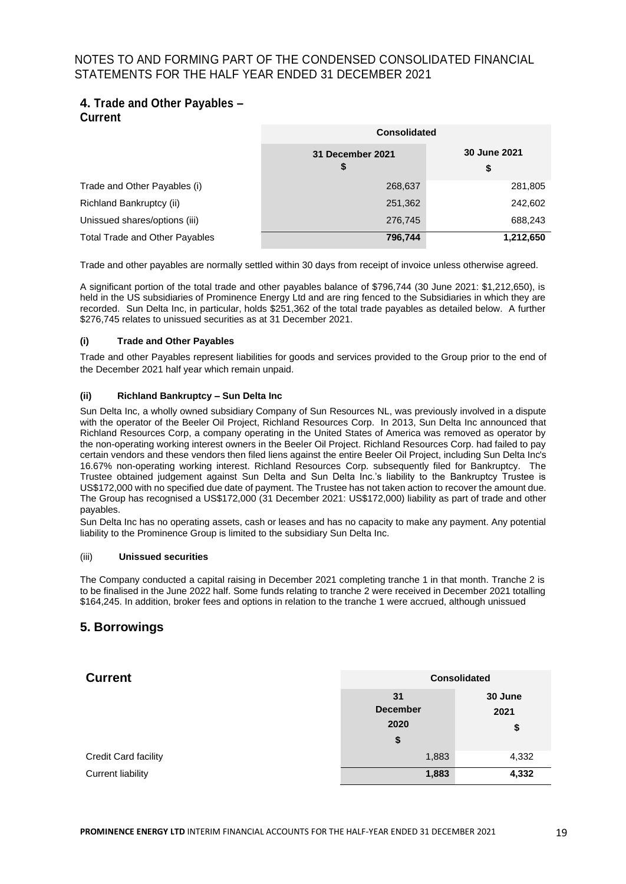# **4. Trade and Other Payables – Current**

|                                       | <b>Consolidated</b>    |                    |  |
|---------------------------------------|------------------------|--------------------|--|
|                                       | 31 December 2021<br>\$ | 30 June 2021<br>\$ |  |
| Trade and Other Payables (i)          | 268,637                | 281,805            |  |
| Richland Bankruptcy (ii)              | 251,362                | 242,602            |  |
| Unissued shares/options (iii)         | 276,745                | 688,243            |  |
| <b>Total Trade and Other Payables</b> | 796,744                | 1,212,650          |  |

Trade and other payables are normally settled within 30 days from receipt of invoice unless otherwise agreed.

A significant portion of the total trade and other payables balance of \$796,744 (30 June 2021: \$1,212,650), is held in the US subsidiaries of Prominence Energy Ltd and are ring fenced to the Subsidiaries in which they are recorded. Sun Delta Inc, in particular, holds \$251,362 of the total trade payables as detailed below. A further \$276,745 relates to unissued securities as at 31 December 2021.

## **(i) Trade and Other Payables**

Trade and other Payables represent liabilities for goods and services provided to the Group prior to the end of the December 2021 half year which remain unpaid.

## **(ii) Richland Bankruptcy – Sun Delta Inc**

Sun Delta Inc, a wholly owned subsidiary Company of Sun Resources NL, was previously involved in a dispute with the operator of the Beeler Oil Project, Richland Resources Corp. In 2013, Sun Delta Inc announced that Richland Resources Corp, a company operating in the United States of America was removed as operator by the non-operating working interest owners in the Beeler Oil Project. Richland Resources Corp. had failed to pay certain vendors and these vendors then filed liens against the entire Beeler Oil Project, including Sun Delta Inc's 16.67% non-operating working interest. Richland Resources Corp. subsequently filed for Bankruptcy. The Trustee obtained judgement against Sun Delta and Sun Delta Inc.'s liability to the Bankruptcy Trustee is US\$172,000 with no specified due date of payment. The Trustee has not taken action to recover the amount due. The Group has recognised a US\$172,000 (31 December 2021: US\$172,000) liability as part of trade and other payables.

Sun Delta Inc has no operating assets, cash or leases and has no capacity to make any payment. Any potential liability to the Prominence Group is limited to the subsidiary Sun Delta Inc.

#### (iii) **Unissued securities**

The Company conducted a capital raising in December 2021 completing tranche 1 in that month. Tranche 2 is to be finalised in the June 2022 half. Some funds relating to tranche 2 were received in December 2021 totalling \$164,245. In addition, broker fees and options in relation to the tranche 1 were accrued, although unissued

## **5. Borrowings**

| <b>Current</b>           | <b>Consolidated</b>                 |                       |
|--------------------------|-------------------------------------|-----------------------|
|                          | 31<br><b>December</b><br>2020<br>\$ | 30 June<br>2021<br>\$ |
| Credit Card facility     | 1,883                               | 4,332                 |
| <b>Current liability</b> | 1,883                               | 4,332                 |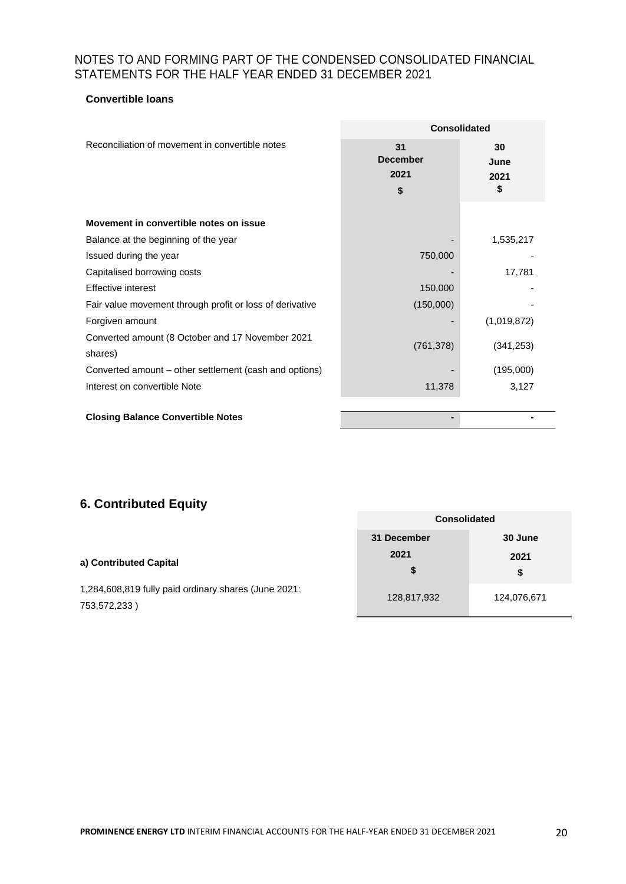## **Convertible loans**

|                                                             | <b>Consolidated</b>                 |                          |
|-------------------------------------------------------------|-------------------------------------|--------------------------|
| Reconciliation of movement in convertible notes             | 31<br><b>December</b><br>2021<br>\$ | 30<br>June<br>2021<br>\$ |
| Movement in convertible notes on issue                      |                                     |                          |
| Balance at the beginning of the year                        |                                     | 1,535,217                |
| Issued during the year                                      | 750,000                             |                          |
| Capitalised borrowing costs                                 |                                     | 17,781                   |
| Effective interest                                          | 150,000                             |                          |
| Fair value movement through profit or loss of derivative    | (150,000)                           |                          |
| Forgiven amount                                             |                                     | (1,019,872)              |
| Converted amount (8 October and 17 November 2021<br>shares) | (761, 378)                          | (341, 253)               |
| Converted amount – other settlement (cash and options)      |                                     | (195,000)                |
| Interest on convertible Note                                | 11,378                              | 3,127                    |
|                                                             |                                     |                          |
| <b>Closing Balance Convertible Notes</b>                    |                                     |                          |

# **6. Contributed Equity**

|                                                                      | <b>Consolidated</b> |             |
|----------------------------------------------------------------------|---------------------|-------------|
|                                                                      | 31 December         | 30 June     |
| a) Contributed Capital                                               | 2021<br>\$          | 2021<br>\$  |
| 1,284,608,819 fully paid ordinary shares (June 2021:<br>753,572,233) | 128,817,932         | 124,076,671 |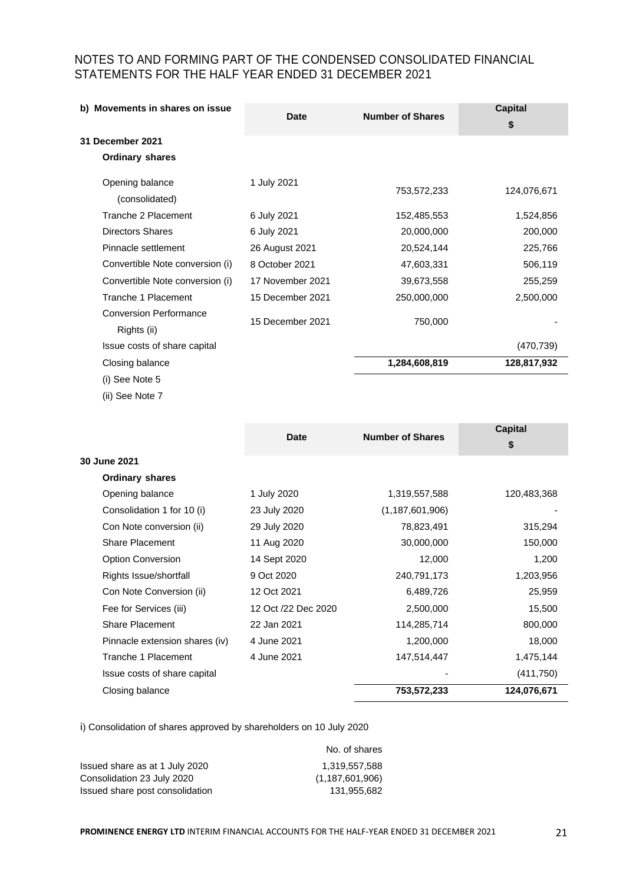| b) Movements in shares on issue              | Date             | <b>Number of Shares</b> | <b>Capital</b><br>\$ |
|----------------------------------------------|------------------|-------------------------|----------------------|
| 31 December 2021                             |                  |                         |                      |
| <b>Ordinary shares</b>                       |                  |                         |                      |
| Opening balance<br>(consolidated)            | 1 July 2021      | 753,572,233             | 124,076,671          |
| Tranche 2 Placement                          | 6 July 2021      | 152,485,553             | 1,524,856            |
| <b>Directors Shares</b>                      | 6 July 2021      | 20,000,000              | 200,000              |
| Pinnacle settlement                          | 26 August 2021   | 20,524,144              | 225,766              |
| Convertible Note conversion (i)              | 8 October 2021   | 47,603,331              | 506,119              |
| Convertible Note conversion (i)              | 17 November 2021 | 39,673,558              | 255,259              |
| Tranche 1 Placement                          | 15 December 2021 | 250,000,000             | 2,500,000            |
| <b>Conversion Performance</b><br>Rights (ii) | 15 December 2021 | 750,000                 |                      |
| Issue costs of share capital                 |                  |                         | (470, 739)           |
| Closing balance                              |                  | 1,284,608,819           | 128,817,932          |
| (i) See Note 5                               |                  |                         |                      |

(ii) See Note 7

|                                |                     | <b>Number of Shares</b> | <b>Capital</b> |
|--------------------------------|---------------------|-------------------------|----------------|
|                                | <b>Date</b>         |                         | \$             |
| 30 June 2021                   |                     |                         |                |
| <b>Ordinary shares</b>         |                     |                         |                |
| Opening balance                | 1 July 2020         | 1,319,557,588           | 120,483,368    |
| Consolidation 1 for 10 (i)     | 23 July 2020        | (1, 187, 601, 906)      |                |
| Con Note conversion (ii)       | 29 July 2020        | 78,823,491              | 315,294        |
| Share Placement                | 11 Aug 2020         | 30,000,000              | 150,000        |
| Option Conversion              | 14 Sept 2020        | 12,000                  | 1,200          |
| Rights Issue/shortfall         | 9 Oct 2020          | 240,791,173             | 1,203,956      |
| Con Note Conversion (ii)       | 12 Oct 2021         | 6,489,726               | 25,959         |
| Fee for Services (iii)         | 12 Oct /22 Dec 2020 | 2,500,000               | 15,500         |
| <b>Share Placement</b>         | 22 Jan 2021         | 114,285,714             | 800,000        |
| Pinnacle extension shares (iv) | 4 June 2021         | 1,200,000               | 18,000         |
| Tranche 1 Placement            | 4 June 2021         | 147,514,447             | 1,475,144      |
| Issue costs of share capital   |                     |                         | (411,750)      |
| Closing balance                |                     | 753,572,233             | 124,076,671    |

i) Consolidation of shares approved by shareholders on 10 July 2020

|                                 | No. of shares      |
|---------------------------------|--------------------|
| Issued share as at 1 July 2020  | 1.319.557.588      |
| Consolidation 23 July 2020      | (1, 187, 601, 906) |
| Issued share post consolidation | 131.955.682        |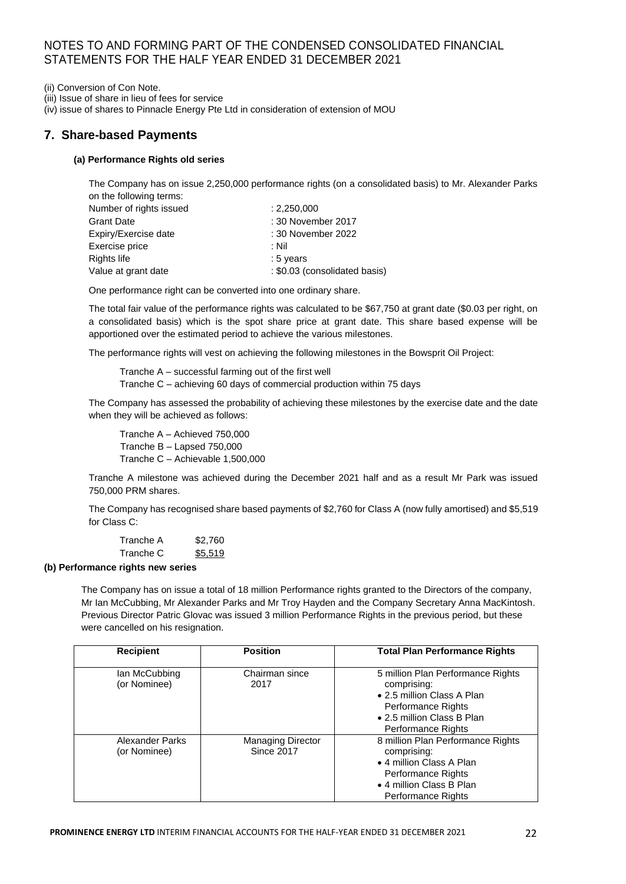(ii) Conversion of Con Note.

(iii) Issue of share in lieu of fees for service

(iv) issue of shares to Pinnacle Energy Pte Ltd in consideration of extension of MOU

## **7. Share-based Payments**

## **(a) Performance Rights old series**

The Company has on issue 2,250,000 performance rights (on a consolidated basis) to Mr. Alexander Parks on the following terms:

| Number of rights issued | : 2,250,000                   |
|-------------------------|-------------------------------|
| <b>Grant Date</b>       | : 30 November 2017            |
| Expiry/Exercise date    | : 30 November 2022            |
| Exercise price          | : Nil                         |
| Rights life             | $:5$ years                    |
| Value at grant date     | : \$0.03 (consolidated basis) |

One performance right can be converted into one ordinary share.

The total fair value of the performance rights was calculated to be \$67,750 at grant date (\$0.03 per right, on a consolidated basis) which is the spot share price at grant date. This share based expense will be apportioned over the estimated period to achieve the various milestones.

The performance rights will vest on achieving the following milestones in the Bowsprit Oil Project:

Tranche A – successful farming out of the first well Tranche C – achieving 60 days of commercial production within 75 days

The Company has assessed the probability of achieving these milestones by the exercise date and the date when they will be achieved as follows:

Tranche A – Achieved 750,000 Tranche B – Lapsed 750,000 Tranche C – Achievable 1,500,000

Tranche A milestone was achieved during the December 2021 half and as a result Mr Park was issued 750,000 PRM shares.

The Company has recognised share based payments of \$2,760 for Class A (now fully amortised) and \$5,519 for Class C:

Tranche A \$2,760 Tranche C \$5,519

#### **(b) Performance rights new series**

The Company has on issue a total of 18 million Performance rights granted to the Directors of the company, Mr Ian McCubbing, Mr Alexander Parks and Mr Troy Hayden and the Company Secretary Anna MacKintosh. Previous Director Patric Glovac was issued 3 million Performance Rights in the previous period, but these were cancelled on his resignation.

| <b>Recipient</b>                | <b>Position</b>                               | <b>Total Plan Performance Rights</b>                                                                                                                        |
|---------------------------------|-----------------------------------------------|-------------------------------------------------------------------------------------------------------------------------------------------------------------|
| lan McCubbing<br>(or Nominee)   | Chairman since<br>2017                        | 5 million Plan Performance Rights<br>comprising:<br>• 2.5 million Class A Plan<br>Performance Rights<br>• 2.5 million Class B Plan<br>Performance Rights    |
| Alexander Parks<br>(or Nominee) | <b>Managing Director</b><br><b>Since 2017</b> | 8 million Plan Performance Rights<br>comprising:<br>• 4 million Class A Plan<br>Performance Rights<br>• 4 million Class B Plan<br><b>Performance Rights</b> |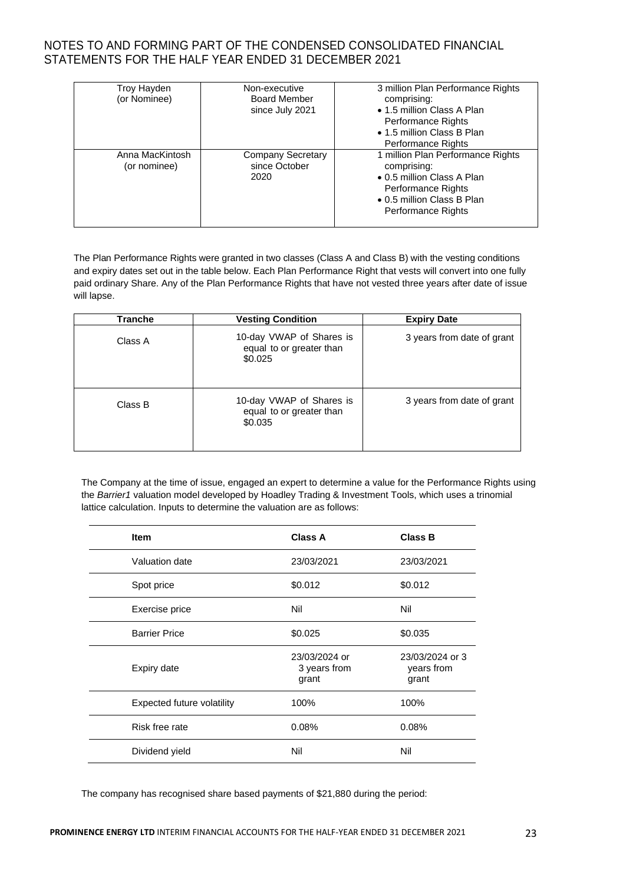| Troy Hayden<br>(or Nominee)     | Non-executive<br><b>Board Member</b><br>since July 2021 | 3 million Plan Performance Rights<br>comprising:<br>• 1.5 million Class A Plan<br>Performance Rights<br>• 1.5 million Class B Plan<br>Performance Rights |
|---------------------------------|---------------------------------------------------------|----------------------------------------------------------------------------------------------------------------------------------------------------------|
| Anna MacKintosh<br>(or nominee) | <b>Company Secretary</b><br>since October<br>2020       | 1 million Plan Performance Rights<br>comprising:<br>• 0.5 million Class A Plan<br>Performance Rights<br>• 0.5 million Class B Plan<br>Performance Rights |

The Plan Performance Rights were granted in two classes (Class A and Class B) with the vesting conditions and expiry dates set out in the table below. Each Plan Performance Right that vests will convert into one fully paid ordinary Share. Any of the Plan Performance Rights that have not vested three years after date of issue will lapse.

| Tranche | <b>Vesting Condition</b>                                        | <b>Expiry Date</b>         |
|---------|-----------------------------------------------------------------|----------------------------|
| Class A | 10-day VWAP of Shares is<br>equal to or greater than<br>\$0.025 | 3 years from date of grant |
| Class B | 10-day VWAP of Shares is<br>equal to or greater than<br>\$0.035 | 3 years from date of grant |

The Company at the time of issue, engaged an expert to determine a value for the Performance Rights using the *Barrier1* valuation model developed by Hoadley Trading & Investment Tools, which uses a trinomial lattice calculation. Inputs to determine the valuation are as follows:

| <b>Item</b>                | <b>Class A</b>                         | <b>Class B</b>                         |
|----------------------------|----------------------------------------|----------------------------------------|
| Valuation date             | 23/03/2021                             | 23/03/2021                             |
| Spot price                 | \$0.012                                | \$0.012                                |
| Exercise price             | Nil                                    | Nil                                    |
| <b>Barrier Price</b>       | \$0.025                                | \$0.035                                |
| Expiry date                | 23/03/2024 or<br>3 years from<br>grant | 23/03/2024 or 3<br>years from<br>grant |
| Expected future volatility | 100%                                   | 100%                                   |
| Risk free rate             | 0.08%                                  | 0.08%                                  |
| Dividend yield             | Nil                                    | Nil                                    |

The company has recognised share based payments of \$21,880 during the period: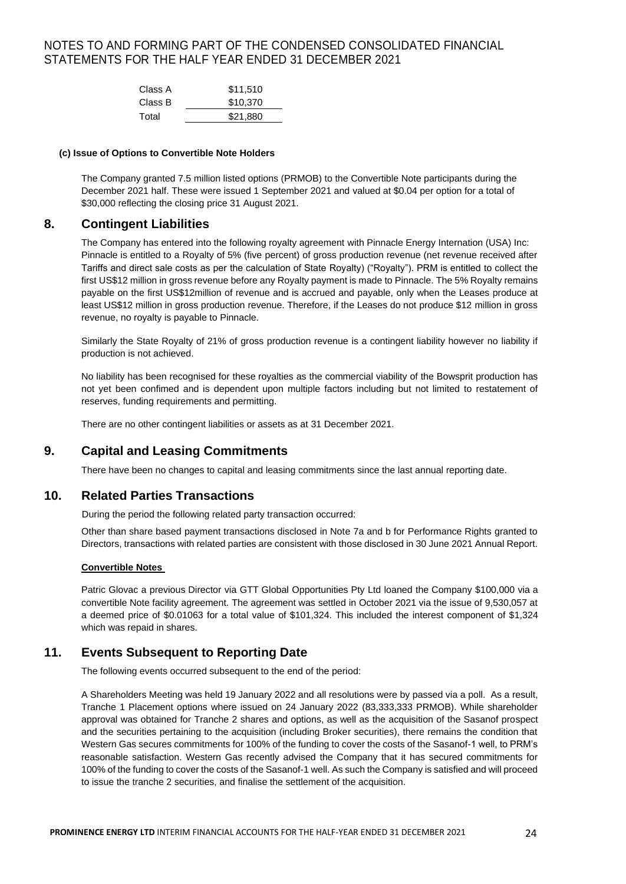| Class A | \$11,510 |
|---------|----------|
| Class B | \$10.370 |
| Total   | \$21,880 |

#### **(c) Issue of Options to Convertible Note Holders**

The Company granted 7.5 million listed options (PRMOB) to the Convertible Note participants during the December 2021 half. These were issued 1 September 2021 and valued at \$0.04 per option for a total of \$30,000 reflecting the closing price 31 August 2021.

## **8. Contingent Liabilities**

The Company has entered into the following royalty agreement with Pinnacle Energy Internation (USA) Inc: Pinnacle is entitled to a Royalty of 5% (five percent) of gross production revenue (net revenue received after Tariffs and direct sale costs as per the calculation of State Royalty) ("Royalty"). PRM is entitled to collect the first US\$12 million in gross revenue before any Royalty payment is made to Pinnacle. The 5% Royalty remains payable on the first US\$12million of revenue and is accrued and payable, only when the Leases produce at least US\$12 million in gross production revenue. Therefore, if the Leases do not produce \$12 million in gross revenue, no royalty is payable to Pinnacle.

Similarly the State Royalty of 21% of gross production revenue is a contingent liability however no liability if production is not achieved.

No liability has been recognised for these royalties as the commercial viability of the Bowsprit production has not yet been confimed and is dependent upon multiple factors including but not limited to restatement of reserves, funding requirements and permitting.

There are no other contingent liabilities or assets as at 31 December 2021.

## **9. Capital and Leasing Commitments**

There have been no changes to capital and leasing commitments since the last annual reporting date.

## **10. Related Parties Transactions**

During the period the following related party transaction occurred:

Other than share based payment transactions disclosed in Note 7a and b for Performance Rights granted to Directors, transactions with related parties are consistent with those disclosed in 30 June 2021 Annual Report.

#### **Convertible Notes**

Patric Glovac a previous Director via GTT Global Opportunities Pty Ltd loaned the Company \$100,000 via a convertible Note facility agreement. The agreement was settled in October 2021 via the issue of 9,530,057 at a deemed price of \$0.01063 for a total value of \$101,324. This included the interest component of \$1,324 which was repaid in shares.

## **11. Events Subsequent to Reporting Date**

The following events occurred subsequent to the end of the period:

A Shareholders Meeting was held 19 January 2022 and all resolutions were by passed via a poll. As a result, Tranche 1 Placement options where issued on 24 January 2022 (83,333,333 PRMOB). While shareholder approval was obtained for Tranche 2 shares and options, as well as the acquisition of the Sasanof prospect and the securities pertaining to the acquisition (including Broker securities), there remains the condition that Western Gas secures commitments for 100% of the funding to cover the costs of the Sasanof-1 well, to PRM's reasonable satisfaction. Western Gas recently advised the Company that it has secured commitments for 100% of the funding to cover the costs of the Sasanof-1 well. As such the Company is satisfied and will proceed to issue the tranche 2 securities, and finalise the settlement of the acquisition.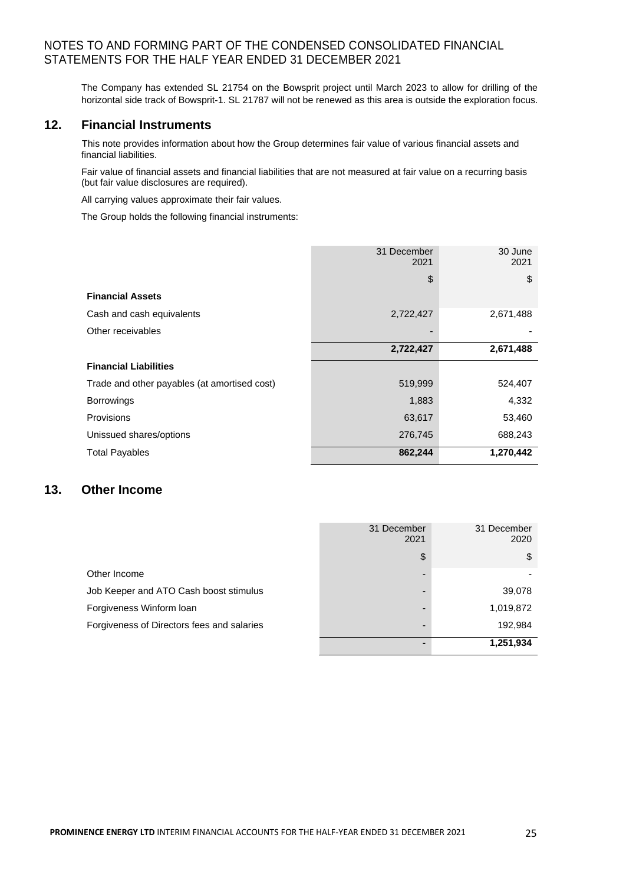The Company has extended SL 21754 on the Bowsprit project until March 2023 to allow for drilling of the horizontal side track of Bowsprit-1. SL 21787 will not be renewed as this area is outside the exploration focus.

## **12. Financial Instruments**

This note provides information about how the Group determines fair value of various financial assets and financial liabilities.

Fair value of financial assets and financial liabilities that are not measured at fair value on a recurring basis (but fair value disclosures are required).

All carrying values approximate their fair values.

The Group holds the following financial instruments:

|                                              | 31 December<br>2021 | 30 June<br>2021 |
|----------------------------------------------|---------------------|-----------------|
|                                              | \$                  | \$              |
| <b>Financial Assets</b>                      |                     |                 |
| Cash and cash equivalents                    | 2,722,427           | 2,671,488       |
| Other receivables                            |                     |                 |
|                                              | 2,722,427           | 2,671,488       |
| <b>Financial Liabilities</b>                 |                     |                 |
| Trade and other payables (at amortised cost) | 519,999             | 524,407         |
| <b>Borrowings</b>                            | 1,883               | 4,332           |
| <b>Provisions</b>                            | 63,617              | 53,460          |
| Unissued shares/options                      | 276,745             | 688,243         |
| <b>Total Payables</b>                        | 862,244             | 1,270,442       |

# **13. Other Income**

|                                            | 31 December<br>2021 | 31 December<br>2020 |
|--------------------------------------------|---------------------|---------------------|
|                                            | \$                  | \$                  |
| Other Income                               | -                   |                     |
| Job Keeper and ATO Cash boost stimulus     | -                   | 39,078              |
| Forgiveness Winform loan                   | -                   | 1,019,872           |
| Forgiveness of Directors fees and salaries | -                   | 192,984             |
|                                            | -                   | 1,251,934           |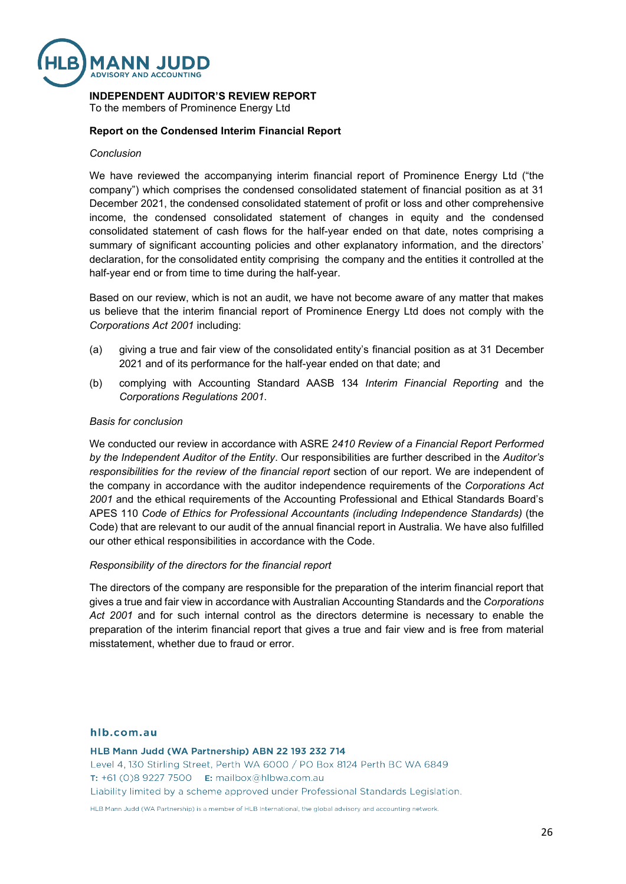

## **INDEPENDENT AUDITOR'S REVIEW REPORT**

To the members of Prominence Energy Ltd

## **Report on the Condensed Interim Financial Report**

### *Conclusion*

We have reviewed the accompanying interim financial report of Prominence Energy Ltd ("the company") which comprises the condensed consolidated statement of financial position as at 31 December 2021, the condensed consolidated statement of profit or loss and other comprehensive income, the condensed consolidated statement of changes in equity and the condensed consolidated statement of cash flows for the half-year ended on that date, notes comprising a summary of significant accounting policies and other explanatory information, and the directors' declaration, for the consolidated entity comprising the company and the entities it controlled at the half-year end or from time to time during the half-year.

Based on our review, which is not an audit, we have not become aware of any matter that makes us believe that the interim financial report of Prominence Energy Ltd does not comply with the *Corporations Act 2001* including:

- (a) giving a true and fair view of the consolidated entity's financial position as at 31 December 2021 and of its performance for the half-year ended on that date; and
- (b) complying with Accounting Standard AASB 134 *Interim Financial Reporting* and the *Corporations Regulations 2001*.

#### *Basis for conclusion*

We conducted our review in accordance with ASRE *2410 Review of a Financial Report Performed by the Independent Auditor of the Entity*. Our responsibilities are further described in the *Auditor's responsibilities for the review of the financial report* section of our report. We are independent of the company in accordance with the auditor independence requirements of the *Corporations Act 2001* and the ethical requirements of the Accounting Professional and Ethical Standards Board's APES 110 *Code of Ethics for Professional Accountants (including Independence Standards)* (the Code) that are relevant to our audit of the annual financial report in Australia. We have also fulfilled our other ethical responsibilities in accordance with the Code.

## *Responsibility of the directors for the financial report*

The directors of the company are responsible for the preparation of the interim financial report that gives a true and fair view in accordance with Australian Accounting Standards and the *Corporations Act 2001* and for such internal control as the directors determine is necessary to enable the preparation of the interim financial report that gives a true and fair view and is free from material misstatement, whether due to fraud or error.

### hlb.com.au

HLB Mann Judd (WA Partnership) ABN 22 193 232 714 Level 4, 130 Stirling Street, Perth WA 6000 / PO Box 8124 Perth BC WA 6849 **T:** +61 (0)8 9227 7500 **E:** mailbox@hlbwa.com.au Liability limited by a scheme approved under Professional Standards Legislation.

HLB Mann Judd (WA Partnership) is a member of HLB International, the global advisory and accounting network